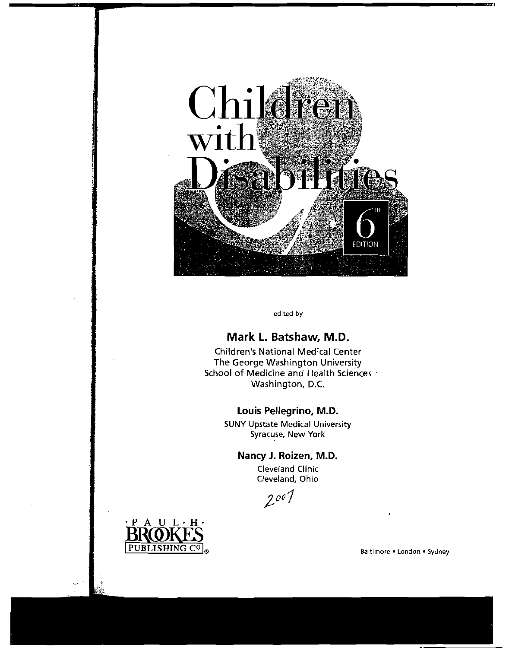

edited by

# Mark L. Batshaw, M.D.

**Children's National Medical Center** The George Washington University School of Medicine and Health Sciences Washington, D.C.

# Louis Pellegrino, M.D.

**SUNY Upstate Medical University** Syracuse, New York

> Nancy J. Roizen, M.D. Cleveland Clinic

> > Cleveland, Ohio  $2007$



Baltimore • London • Sydney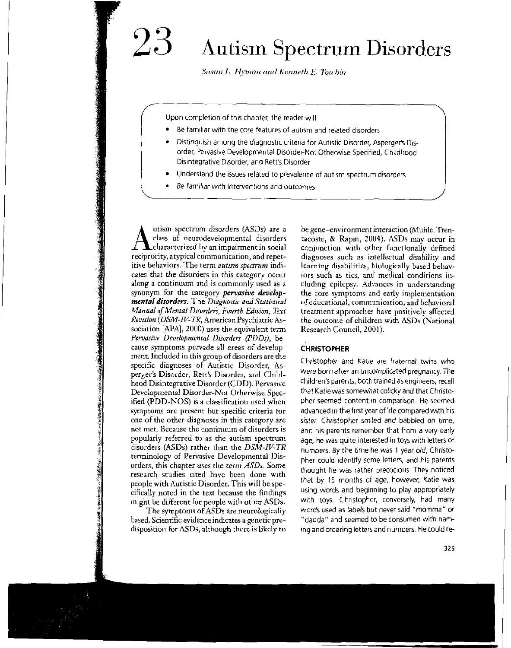# 2 *3* Autism Spectrum Disorders

Susan L. Hyman and Kenneth E. Towbin

Upon completion of this chapter, the reader will

f'

- Be familiar with the core features of autism and related disorders
- Distinguish among the diagnostic criteria for Autistic Disorder, Asperger's Disorder, Pervasive Developmental Disorder-Not Otherwise Specified, Childhood Disintegrative Disorder, and Rett's Disorder
- Understand the issues related to prevalence of autism spectrum disorders
- Be familrar with intervenlions and outcomes

A utism spectrum disorders (ASDs) are a<br>class of neurodevelopmental disorders<br>characterized by an impairment in social<br>reciprocity atypical communication and repetclass of neurodeveiopmental disorders reciprocity, atypical communication, and repetitive behaviors. The term *autism spectrum* indicates that the disorders in this category occur along a continuum and is commonly used as a synonym for the category *pervasive developmental disorders. The Diagnostic and Statistical Manual of Mental Disorders, Fourth Edition, Text Revision (DSM-IV-TR, American Psychiatric As*sociation [APA], 2000) uses the equivalent term Pervasive Developmental Disorders (PDDs), because symptoms pervade all areas of development. Included in this group of disorders are the specific diagnoses of Autistic Disorder, Asperger's Disorder, Rett's Disorder, and Childhood Disintegrative Disorder (CDD). Pervasive Dcvcloprnental Disorder-Not Otherwise Specified (PDD-KOS) is a classification used when symptoms are present hut specific criteria for one of the other diagnoses in this category are not met. Recause the continuum of disorders is popularly referred to as the autism spectrum disorders (ASDs) rather than the *DSM-IV-TR*  terminology of Pervasive Developmental Disorders, this chapter uses the term *ASDs*. Some research studies cited have been done with people with Autistic Disorder. This will be specifically noted in the text hecause the findings might be different for people with other ASDs.

The symptoms of ASDs are neurologically based. Scientific evidence indicates a genetic predisposition for ASDs, although there is likely to

be gene-environment interaction (Muhle, Trentacoste, & Rapin, 2004). ASDs may occur in conjunction with other functionally defmed diagnoses such as intellectual disability and learning disabilities, biologically based behaviors such as tics, and medical conditions including epilepsy. Advances in understanding the core symptoms and early implementation ofeducational, comrnunicstion, and behavioral treatment approaches have positively affected the outcome of children with ASDs (National Research Council. 2001).

 $\overline{\phantom{a}}$ 

### **CHRISTOPHER**

Christopher and Katie are fraternal twins who were born after an uncomplicated pregnancy. The children's parents, both trained asengineers, recall that Katie was somewhat colicky and that Christopher seemed content in comparison. He seemed advanced in the first year of life compared with his sister. Christopher smiled and babbled on time, and his parents remember that from a very early age, he was quite interested in toys with letters or numbers. By the time he was 1 year old, Christopher could identify some letters, and his parents thought he was rather precocious. They noticed that by 15 months of age, however, Katie was using words and beginning to play appropriately with toys. Christopher, conversely, had many words used as labels but never said "momma" or "dadda" and seemed to beconsumed with naming and ordering letters and numbers. He could re-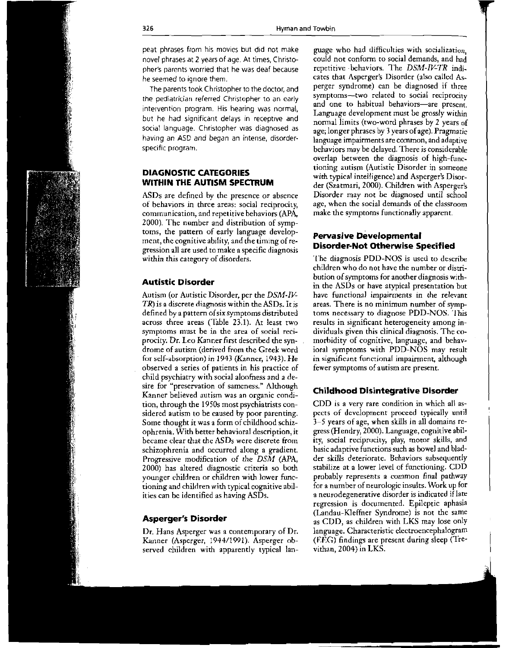novel phrases at 2 years of age. At times, Christo-

326

the pediatrician referred Christopher to an early symptoms—two related to social reciprocity<br>intervention program. His hearing was normal. Intervention program. His hearing was normal. Language development must be grossly but he had significant delays in receptive and limits (two-word phrases by 2 years of<br>social language. Christopher was diagnosed as linear phrases by 3 years of age). Pragmatic social language. Christopher was diagnosed as **age;** longer phrases by 3 years of age). Pragmatic<br>having an ASD and began an intense, disorder- an language impairments are common, and adaptive having an ASD and began an intense, disorder-<br>specific program. (and adaptive language impairments are common, and adaptive

of behaviors in three areas: social reciprocity, age, when the social demands of the classroom<br>communication, and repetitive behaviors (APA, make the symptoms functionally apparent. communication, and repetitive behaviors (APA, 2000). The number and distribution of symptoms, the pattern of early language developtoms, the pattern of early ranguage develop-<br>ment, the cognitive ability, and the timing of re-<br>**Pisorder-Not Otherwise Specified** gression all are used to make a specific diagnosis **Disorder-Not Otherwise Specified**  within this category of disorders. The diagnosis PDD-NOS is used to describe

*TR)* is a discrete diagnosis within the ASDs. It is areas. There is no minimum number of sympdefined by a pattern ofsixsymptoms distributed toms necessary to diagnose PDD-NOS. 'lhis across three areas (Table 23.1). At least two results in significant heterogeneity among insymptoms must be in the area of social reci- dividuals given this clinical diagnosis. The coprocity Dr. Leo Kanner first described the syn- . morbidity of cognitive, language, and behavdrome of autism (derived from the Greek word ioral symptoms with PDD-NOS may result for self-absorption) in 1943 (Kanner, 1943). He in significant functional impairment, although observed a series of patients in his practice of fewer symptoms of autism are present. observed a series of patients in his practice of child psychiatry with social aloofness and a desire for "preservation of sameness." Although Kanner believed autism was an organic condi- **Childhood Disintegrative Disorder**  tion, through the 1950s most psychiatrists con- CDD is a very rare condition in which all as-<br>sidered autism to be caused by poor parenting. pects of development proceed typically until<br>Some thought it was a form of childh Some thought it was a form of childhood schizophrenia. With better behavioral description, it gress (Hendry, 2000). Language, cognitive ahil $b$ ecame clear that the ASDs were discrete from ity, social reciprocity, play, motor skills, and schizophrenia and occurred along a gradient. basic adaptive functions such as bowel and blad-<br>Progressive modification of the DSM (APA, der skills deteriorate. Behaviors subsequently Progressive modification of the *DSM* (APA, 2000) has altered diagnostic criteria so both stabilize at a lower level of functioning. CDD younger children or children with lower func- probably represents a common final pathway tioning and children with typical cognitive abil- for a number of neurologic insults. Workup for ities can be identified as having ASDs. a neurodegenerative disorder is indicated if late

Kanner (Aspcrger, !944/1991). Asperger ob- **(REG)** findings are present during sleep (Treserved children with apparently tpical Ian- vithan, 2004) in LKS.

peat phrases from his movies but did not make guage who had difficulties with socialization, providing the page<br>that in cover pages and a general solution over the social demands, and had pher's parents worried that he was deaf because repetitive behaviors. The *DSM-IKTR* indihe seemed to ignore them.<br>The parents took Christopher to the doctor and perger syndrome) can be diagnosed if three The parents took Christopher to the doctor, and perger syndrome) can be diagnosed if three<br>symptoms—two related to social reciprocity behaviors may be delayed. There is considerable overlap between the diagnosis of high-func-**DIAGNOSTIC CATEGORIES** tioning autism (Autistic Disorder in someone with typical intelligence) and Asperger's Disorder (Szatmari, 2000). Children with Asperger's ASDs are defined by the presence or absence Disorder may not be diagnosed until school<br>of behaviors in three areas: social reciprocity, age, when the social demands of the classroom

children who do not have the number or distri-**Autistic Disorder Aution** bution of symptoms for another diagnosis with-<br>in the ASDs or have atypical presentation but Autism (or Autistic Disorder, per the *DSM-IK* have functional impairments in the relevant

regression is documented. Epileptic aphasia (Landau-Kleher Syndrome) is not the same **Asperger's Disorder** as CDD, as children with LKS may lose only Dr. Hans Asperger was a contemporary of Dr. language. Characteristic electroencephalogram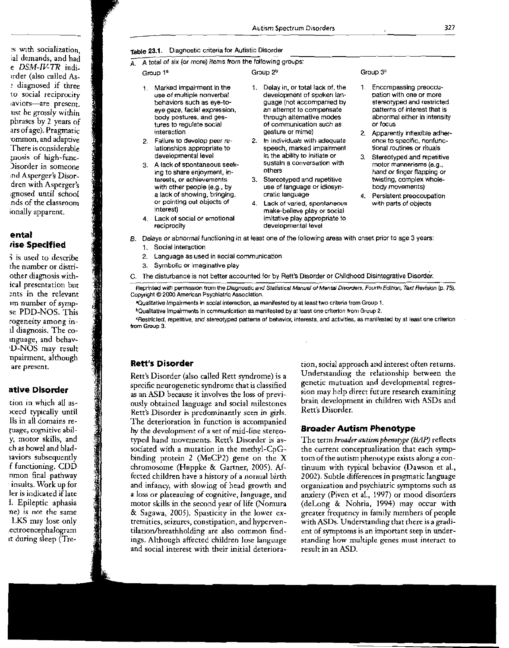:s with socialization. ial demands, and had  $e$  DSM-IV-TR indiorder (also called As-: diagnosed if three to social reciprocity aviors-are present. ust be grossly within phrases by 2 years of ars of age). Pragmatic ommon, and adaptive There is considerable mosis of high-func-Disorder in someone and Asperger's Disordren with Asperger's gnosed until school nds of the classroom ionally apparent.

# ental rise Specified

5 is used to describe the number or distriother diagnosis withical presentation but ents in the relevant im number of sympse PDD-NOS. This rogeneity among inal diagnosis. The coinguage, and behav-D-NOS may result npairment, although are present.

### ative Disorder

tion in which all asoceed typically until Ils in all domains reruage, cognitive abilv, motor skills, and ch as bowel and bladiaviors subsequently f functioning. CDD nmon final pathway insults. Work up for ler is indicated if late 1. Epileptic aphasia ne) is not the same LKS may lose only ectroencephalogram it during sleep (Tre-

# Table 23.1. Diagnostic criteria for Autistic Disorder

 $\overline{A}$  A total of six (or more) items from the following groups:

| Group 1 <sup>8</sup> |                                                                                                                                                                           | Group $2b$ |                                                                                                                                                                                 | Group 3 <sup>c</sup> |                                                                                                                                                            |
|----------------------|---------------------------------------------------------------------------------------------------------------------------------------------------------------------------|------------|---------------------------------------------------------------------------------------------------------------------------------------------------------------------------------|----------------------|------------------------------------------------------------------------------------------------------------------------------------------------------------|
| 1.                   | Marked impairment in the<br>use of multiple nonverbal<br>behaviors such as eve-to-<br>eye gaze, facial expression,<br>body postures, and ges-<br>tures to regulate social |            | Delay in, or total lack of, the<br>development of spoken lan-<br>quage (not accompanied by<br>an attempt to compensate<br>through alternative modes<br>of communication such as |                      | Encompassing preoccu-<br>pation with one or more<br>stereotyped and restricted<br>patterns of interest that is<br>abnormal either in intensity<br>or focus |
|                      | interaction                                                                                                                                                               |            | gesture or mime)                                                                                                                                                                | 2.                   | Apparently inflexible adher-                                                                                                                               |
|                      | 2. Failure to develop peer re-<br>lationships appropriate to                                                                                                              |            | 2. In individuals with adequate<br>speech, marked impairment<br>in the ability to initiate or<br>sustain a conversation with<br>others                                          |                      | ence to specific, nonfunc-<br>tional routines or rituals                                                                                                   |
|                      | developmental level                                                                                                                                                       |            |                                                                                                                                                                                 | З.                   | Stereotyped and repetitive<br>motor mannerisms (e.g.,<br>hand or finger flapping or<br>twisting, complex whole-<br>body movements)                         |
| З.                   | A lack of spontaneous seek-<br>ing to share enjoyment, in-                                                                                                                |            |                                                                                                                                                                                 |                      |                                                                                                                                                            |
|                      | terests, or achievements<br>with other people (e.g., by<br>a lack of showing, bringing,<br>or pointing out objects of<br>interest)                                        |            | 3. Stereotyped and repetitive<br>use of language or idiosyn-                                                                                                                    |                      |                                                                                                                                                            |
|                      |                                                                                                                                                                           |            | cratic language                                                                                                                                                                 | 4.                   | Persistent preoccupation<br>with parts of objects                                                                                                          |
|                      |                                                                                                                                                                           | 4.         | Lack of varied, spontaneous<br>make-believe play or social                                                                                                                      |                      |                                                                                                                                                            |
| 4.                   | Lack of social or emotional<br>reciprocity                                                                                                                                |            | imitative play appropriate to<br>developmental level                                                                                                                            |                      |                                                                                                                                                            |

- B. Delays or abnormal functioning in at least one of the following areas with onset prior to age 3 years:
	- 1. Social interaction
	- 2. Language as used in social communication
	- 3. Symbolic or imaginative play
- C. The disturbance is not better accounted for by Rett's Disorder or Childhood Disintegrative Disorder.

Reprinted with permission from the Diagnostic and Statistical Manual of Mental Disorders, Fourth Edition, Text Revision (p. 75). Copyright © 2000 American Psychiatric Association.

"Qualitative impairments in social interaction, as manifested by at least two criteria from Group 1. <sup>b</sup>Qualitative impairments in communication as manifested by at least one criterion from Group 2.

"Restricted, repetitive, and stereotyped patterns of behavior, interests, and activities, as manifested by at least one criterion from Group 3.

# **Rett's Disorder**

Rett's Disorder (also called Rett syndrome) is a specific neurogenetic syndrome that is classified as an ASD because it involves the loss of previously obtained language and social milestones Rett's Disorder is predominantly seen in girls. The deterioration in function is accompanied hy the development of a set of mid-line stereotyped hand movements. Rett's Disorder is associated with a mutation in the methyl-CpGbinding protein 2 (MeCP2) gene on the X chromosome (Hnppke & Gartner, 2005). Affected children have a history of a normal birth and infancy, with slowing of head growth and a loss or plateauing of cognitive, language, and motor skills in the second year of life (Nomura & Sagawa, 2005). Spasticity in the lower extremities, seizures, constipation, and hyperventilation/breathholding are also common findings. Although affected children lose language and social interest with their initial deterioration, social approach and interest often returns. Understanding the relationship between the genetic mutuation and developmental regression may help direct future research examining brain development in children with ASDs and Rett's Disorder.

# **Broader Autism Phenotype**

The term broader autism phenotype (BAP) reflects the current conceptualization that each symptom of the autism phenotype exists along a continuum with typical behavior (Dawson et al., 2002). Subtle differences in pragmatic language organization and psychiatric symptoms such as anxiety (Piven et al., 1997) or mood disorders (deLong & Nohria, 1994) may occur with greater frequency in family members of people with ASDs. Understanding that there is a gradient of symptoms is an important step in understanding how multiple genes must interact to result in an ASD.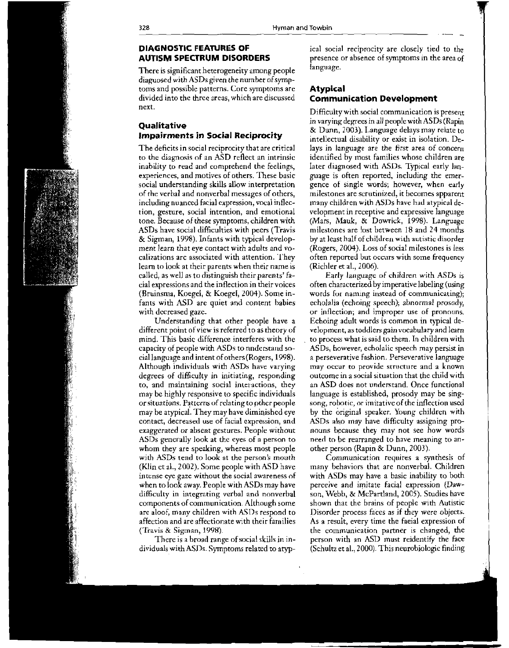There is significant heterogeneity among people. diaguosed with ASDs given the number of symptoms and possible patterns. Core symptoms are **Atypical**  divided into the three areas, which are discussed **Communication Development** 

to the diagnosis of an ASD reflect an intrinsic identified by most families whose children are inability to read and comprehend the feelings, later diagnosed with ASDs. Typical early laninability to read and comprehend the feelings, later diagnosed with ASDs. Typical early lan-<br>experiences, and motives of others. These basic guage is often reported, including the emerexperiences, and motives of others. These basic social understanding skills allow interpretation gence of single words; however, when early of the verbal and nonverbal messages of others, milestones are scrutinized, it becomes apparent including nuanced facial expression, vocal inflec- many children with ASDs have had atypical detion, gesture, social intention, and emotional velopment in receptive and expressive language<br>tone. Because of these symptoms, children with (Mars, Mauk, & Dowrick, 1998). Language tone. Because of these symptoms, children with (Mars, Mauk, & Dowrick, 1998). Language ASDs have social difficulties with peers (Travis milestones are lost between 18 and 24 months ASDs have social difficulties with peers (Travis milestones are lost between 18 and 24 months & Sigman, 1998). Infants with typical develop- by at least half of children with autistic disorder & Sigman, 1998). Infants with typical develop-<br>ment learn that eye contact with adults and vo-<br>(Rogers, 2004). Loss of social milestones is less ment learn that eye contact with adults and vo-<br>
calizations arc associated with attention. They often reported but occurs with some frequency calizations arc associated with attention. They often reported but occurs but of learn to look at their parents when their name is (Richler et al., 2006). learn to look at their parents when their name is (Richler et al., 2006).<br>
called, as well as to distinguish their parents' fa-<br>
Early language of children with ASDs is called, as well as to distinguish their parents' fa-<br>
cial expressions and the inflection in their voices often characterized by imperative labeling (using cia1 expressions and the inflection in their voices often characterized by imperative labeling (using (Bruinsma, Koegel, & Koegel, 2004). Some infants with ASD are quiet and content babies echolalia (echoing speech); abnormal prosody,

different point of view is referred to as theory of mind. This basic difference interferes with the . to process what is said to them. In children with capacity of people with ASDs to nnderstand so-<br>
cial language and intent of others (Rogers, 1998). a perseverative fashion. Perseverative language cia1 language and intent of others(Rogers, 1998). a perseverative fashion. Perseverative language Although individuals with ASDs have varying may occur to provide structure and a known<br>degrees of difficulty in initiating, responding outcome in a social situation that the child with degrees of difficulty in initiating, responding to, and maintaining social intrractions, they an ASD does not undemtand. Once functional may be highly responsive to specific individuals language is established, prosody may be singorsitnations. Patterns of relating to **other** people song, robotic, or imitative of the inflection used may be atypical. They may have diminished eye by the original speaker. Young children with<br>contact, decreased use of facial expression, and ASDs also may have difficulty assigning procontact, decreased use of facial expression, and exaggerated or absent gestures. People without nouns because they may not see how words<br>ASDs generally look at the eyes of a person to need to be rearranged to have meaning to an-ASDs generally look at the eyes of a person to need to be rearranged to have mean<br>whom they are speaking, whereas most people other person (Rapin & Dunn, 2003). whom they are speaking, whereas most people other person (Rapin & Dunn, 2003).<br>with ASDs tend to look at the person's mouth Communication requires a synthesis of with ASDs tend to look at the person's mouth Communication requires a synthesis of (Klin et al., 2002). Some people with ASD have many behaviors that are nonverbal. Children (Klin et al., 2002). Some people with ASD have intense eye gaze without the social awareness of with ASDs may have a basic inability to both when to look away. People with ASDs may have perceive and imitate facial expression (Dawwhen to look away. People with ASDs may have perceive and imitate facial expression (Daw-<br>difficulty in integrating verbal and nonverbal son, Webb, & McPartland, 2005). Studies have difficulty in integrating verbal and nonverbal son, Webb, & McPartland, 2005). Studies have<br>components of communication. Although some shown that the brains of people with Autistic components of communication. Although some arc aloof, many children with ASDs respond to Disorder process faces as if they were objects. affection and are affectionate with their families As a result, every time the faeial expression of

**DIAGNOSTIC FEATURES OF** ical social reciprocity are closely tied to the **AUTISM SPECTRUM DISORDERS** presence or absence of symptoms in the area of presence or absence of symptoms in the area of language.

Dificulty with social communication is present **Qualitative** in varying degrees in all people with ASDs (Rapin in varying degrees in all people with ASDs (Rapin in the second of the second of the second of the second of the second of the second of the second of the sec **Impairments in Social Reciprocity**<br>
Intellectual disability or exist in isolation. De-<br>
The deficits in social reciprocity that are critical<br>
lays in language are the first area of concern The deficits in social reciprocity that are critical lays in language are the first area of concern<br>to the diagnosis of an ASD reflect an intrinsic identified by most families whose children are milestones are scrutinized, it becomes apparent

with decreased gaze. <br>
Understanding that other people have a Echoing adult words is common in typical de-Echoing adult words is common in typical de-<br>velopment, as toddlers gain vocabulary and learn

(Travis & Sigman, 1998). the communication partner is changed, the person with an ASD must reidentify the face dividuals with ASDs. Symptoms related to atyp- (Schultz et al., 2000). This neurobiologic finding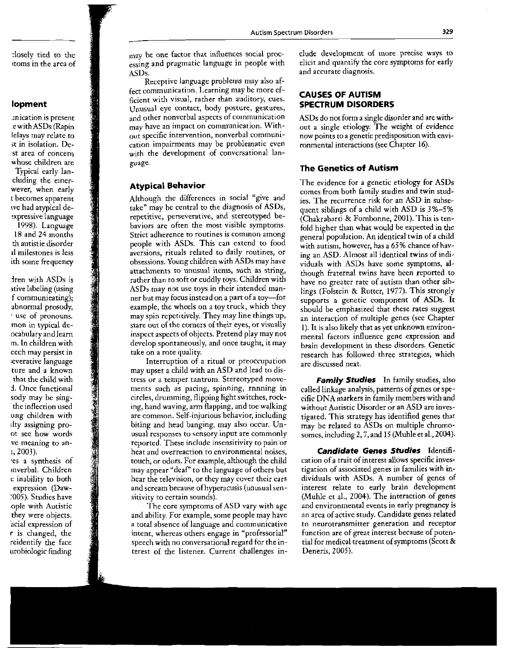:losely tied to the Itoms in the area of

### lopment

~nication is present e with ASDs (Rapin lelays may relate to it in isolation. Dest area of concern whose children are

Typical early lancluding the emerwever, when early t becomes apparent tve had atypical de- :xpressive language

**1998).** Language **18** and **24** months th autistie disorder 11 milestones is less ith some frequency

dren with ASDs is ~tive labeling (using f communicating); abnormal prosody, use of pronouns. mon in typical de- ~cabulary and learn m. In children with eech may persist in :everative language ture and a knoun that the child with **A.** Once functional sody may be sing-'the inflection used ung children with llty assigning proot see how words ve meaning to an-I, **2003).** 

.es a synthesis of ~nverbal. Children c inability to both expression (Daw**lOO5).** Studies have ople with Autistic they were objects. 'acial expression of r is changed, the reidentify the face urohiologic finding may be one factor that intluences social processing and pragmatic language in people with ASDs.

Receptive language problems may also affect communication. Learning may be more efficient with visual, rather than auditory, cues. Unusual eye contact, body posture, gestures, and other nonverbal aspects of communication may have an impact on communication. Without specific intervention, nonverbal communication impairments may be problematic even with the development of conversational language.

### Atypical Behavior

Although the differences in social "give and take" may be central to the diagnosis of ASDs, repetitive, perseverative, and stereotyped bebaviors are often the most visible symptoms. Strict adherence to routines is common among people with ASDs. This can extend to food aversions, rituals related to daily routines, or obsessions. Young children with ASDs may have attachments to unusual items, such as string, rather than to soft or cuddly toys. Children with ASDs may not use toys in their intended manner but may focus instead on a part of a toy-for example, the wheels on a toy truck, which they may spin repetitively. They may line things up, stare out of the corners of their eyes, or visually inspect aspects of objects. Pretend play may not develop spontaneously, and once taught, it may take on a rote quality.

Interruption of a ritual or preoccupation may upset a child with an ASD and lead to distress or a temper tantrum. Stereotyped movements such as pacing, spinning, rnnning in circles, drumming, flipping light switches, rocking, hand waving, arm flapping, and toe walking are common. Self-injurious behavior, including biting and head banging, may also occur. Unusual responses to sensory input are commonly reported. These include insensitivity to pain'or heat and overreaction to environmental noises, touch, or odors. For example, although the child may appear "deaf' to the language of others but hear the television, or they may cover their ears and scream because of hyperacusis (unusual sensitivity to certain sounds).

The core symptoms of ASD vary with age and ability. For example, some people may have a total absence of language and communicative intent, whereas others engage in "professorial" speech with no conversational regard for the interest of the listener. Current challenges include development of more precise ways to elicit and quantifv the core symptoms for early and accurate diagnosis.

# CAUSES OF AUTISM SPECTRUM DISORDERS

ASDs do not form a single disorder and are without a single etiology. The weight of evidence now points to a genetic predisposition with environmental interactions (see Chapter **16).** 

### The Genetics of Autism

The evidence for a genetic etiology for ASDs comes from both family studies and twin studies. The recurrence risk for an ASD in suhsequent siblings of a child with ASD is 3%-5% (Chakrabarti & Fombonne, **2001).** This is tenfold higher than what would be expeeted in the general population. An identical twin of a child with autism, however, has a **65%** chance ofhaving an ASD. Almost all identical twins of individuals with ASDs have some symptoms, although fraternal twins have been reported to have no greater rate of autism than other siblings (Folstein & Rutter, **1977).** This strongly supports a genetic component of ASDs. It should he emphasized that these rates suggest an interaction of multiple genes (see Chapter **1).** It is also likely that as yet unknown environmental factors influence gene expression and brain development in these disorders. Genetic research has followed three strategies, whieh are discussed next.

**Family Studies** In family studies, also called linkage analysis, patterns of genes or specific DNA markers in family members with and without Autistic Disorder or an ASD are investigated. This strategy has identified genes that may be related to ASDs on multiple chromosomes, including **2,7,** and **15** (Muhle et al., **2004).** 

Candidate Genes Studies Identification of a trait of interest allows specific investigation of associated genes in families with individuals with ASDs. A number of genes of interest relate to early brain development (Muhle et al., **2004).** The interaction of genes and environmental events in early pregnancy is an area of active study. Candidate genes related to neurotransmitter generation and receptor function are of great interest because of potential for medical treatment of symptoms (Scott & Deneris, **ZOOS).**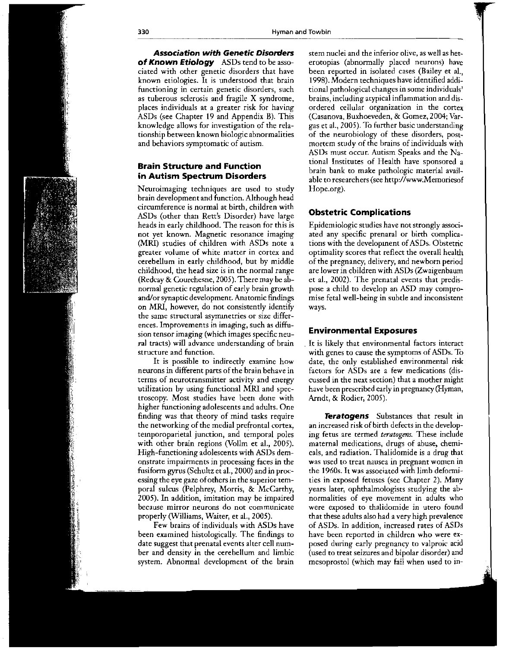

**Association with Genetic Disorders** stem nuclei and the inferior olive, as well as het-<br>**of Known Etiology** ASDs tend to be asso- erotopias (abnormally placed neurons) have ciated with other genetic disorders that have been reported in isolated cases (Bailey et al., known etiologies. It is understood that brain 1998). Modern techniques have identified addi-<br>functioning in certain genetic disorders, such tional pathological changes in some individuals' functioning in certain genetic disorders, such tional pathological changes in some individuals'<br>as tuberous sclerosis and fragile X syndrome, brains, including atypical inflammation and disas tuberous sclerosis and fragile X syndrome, brains, including atypical inflammation and dis-<br>places individuals at a greater risk for having ordered cellular organization in the cortex places individuals at a greater risk for having ordered cellular organization in the cortex<br>ASDs (see Chapter 19 and Appendix B). This (Casanova, Buxhoeveden, & Gomez, 2004; Var- $ASDs$  (see Chapter 19 and Appendix B). This knowledge allows for investigation of the rela-<br>tionship between known biologic abnormalities of the neurobiology of these disorders, posttionship between known biologic abnormalities<br>and behaviors symptomatic of autism.

330

Neuroimaging techniques are used to study Hope.org). brain development and function. Although head circumference is normal at birth, children with ASDs (other than Rett's Disorder) have large **Obstetric Complications**  heads in early childhood. The reason for this is Epidemiologic studies have not strongly associnot yet known. Magnetic resonance imaging ated any specific prenaral or birth complica- (MRI) studies of children with ASDs note a tions with the development ofASDs. Obstetric greater volume of white matter in cortex and optimality scores that reflect the overall health cerebellum in early childhood, but by middle of the pregnancy, delivery, and newborn period childhood, the head size is in the normal range are lower in cbildren with ASDs (Zwaigenbaum (Redcay & Courchesne, 2005). There may be ab- et al., 2002). The prenatal events that predisnormal genetic regulation of early brain growth pose a child to develop an ASD may comproand/or synaptic development. Anatomic findings mise fetal well-being in subtle and inconsistent on MRI, however, do not consistently identify ways. the same structural asymmetries or size differences. Improvements in imaging, such as diffusion tensor imaging (which images specific neural tracts) will advance understanding of brain . It is likely that environmental factors interact structure and function. with genes to cause the symptoms of ASDs. To

terms of neurotransmitter activity and energy cussed in the next section) that a mother might utilization by using functional MRI and spec-<br>have been prescribed early in pregnancy (Hyman, troscopy. Most studies have been done with Amdt, & Rodier, 2005). higher functioning adolescents and adults. One finding was that theory of mind tasks require **Teratogens** Substances that result in the networking of the medial prefrontal cortex, an increased risk of birth defects in the developtemporoparietal junction, and temporal poles ing fetus are termed **terntogens.** These include with other brain regions (Vollm et al., 2005). maternal medications, drugs of abuse, chemi-High-functioningadolescents with ASDs dem- cals, and radiation. Thalidomide is a drug that onstrate impairments in processing faces in the was used to treat nausea in pregnant women in fusiform gyrus (Schultz et al., 2000) and in proc- the 1960s. It was associated with limb defomiessing the eye gaze of others in the superior rem- ties in exposed fetuses (see Chapter 2). Many poral sulcus (Pelphrey, Morris, & McCarthy, years later, ophthalmologists studying the ab-2005). In addition, imitation may be impaired normalities of eye movement in adults who because mirror neurons do not communicate were exposed to thalidomide in utero found properly (Williams, Waiter, et al., 2005). that these adults also had a very high prevalence

been examined histologically. The findings to have been reported in children who were exdate suggest that prenatal events alter cell num-<br>posed during early pregnancy to valproic acid ber and density in the cerebellum and limbic (used to treat seizures and bipolar disorder) and system. Abnormal development of the brain mesoprostol (which may fail when used to in-

erotopias (abnormally placed neurons) have mortem study of the brains of individuals with. ASDs must occur. Autism Speaks and the Na-**Brain Structure and Function brain Institutes of Health have sponsored a in Autism Spectrum Disorders able to researchers (see http://www.Memoriesof able to researchers (see http://www.Memoriesof** 

### **Environmental Exposures**

It is possible to indirectly examine how date, the only established environmental risk<br>neurons in different parts of the brain behave in factors for ASDs are a few medications (disfactors for ASDs are a few medications (dis-

Few brains of individuals with ASDs have of ASDs. In addition, increased rates of ASDs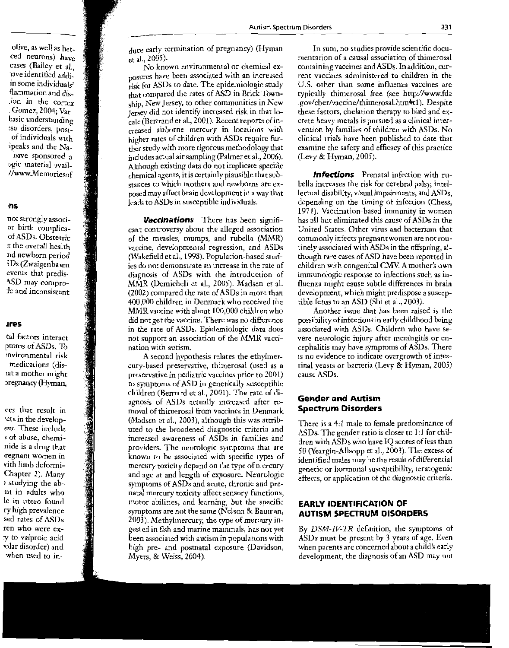olive, as well as hetced neurons) have cases (Bailey et al., ave identified addiin some individuals' flammation and distion in the cortex Gomez, 2004; Varbasic understanding ese disorders, postof individuals with speaks and the Nahave sponsored a ogic material avail-//www.Memoriesof

not strongly associor birth complicaof ASDs. Obstetric t the overall health nd newborn period SDs (Zwaigenbaum events that predis-ASD may comprole and inconsistent

### **Ires**

tal factors interact ptoms of ASDs. To nvironmental risk medications (disiat a mother might pregnancy (Hyman,

ces that result in ects in the developens. These include s of abuse, cheminide is a drug that regnant women in vith limb deformi-Chapter 2). Many s studying the abnt in adults who le in utero found ry high prevalence sed rates of ASDs ren who were exy to valproic acid olar disorder) and when used to in-

duce early termination of pregnancy) (Hyman et al., 2005).

No known environmental or chemical exposures have been associated with an increased risk for ASDs to date. The epidemiologic study that compared the rates of ASD in Brick Township, New Jersey, to other communities in New Jersey did not identify increased risk in that locale (Bertrand et al., 2001). Recent reports of increased airborne mercury in locations with higher rates of children with ASDs require further study with more rigorous methodology that includes actual air sampling (Palmer et al., 2006). Although existing data do not implicate specific ehemical agents, it is certainly plausible that substances to which mothers and newborns are exposed may affect brain development in a way that leads to ASDs in susceptible individuals.

**Vaccinations** There has been significant controversy about the alleged association of the measles, mumps, and rubella (MMR) vaccine, developmental regression, and ASDs (Wakefield et al., 1998). Population-based studies do not demonstrate an increase in the rate of diagnosis of ASDs with the introduction of MMR (Demicheli et al., 2005). Madsen et al. (2002) compared the rate of ASDs in more than 400,000 children in Denmark who received the MMR vaccine with about 100,000 children who did not get the vaccine. There was no difference in the rate of ASDs. Epidemiologic data does not support an association of the MMR vaccination with autism.

A second hypothesis relates the ethylmercury-based preservative, thimerosal (used as a preservative in pediatric vaccines prior to 2001) to symptoms of ASD in genetically susceptible children (Bernard et al., 2001). The rate of diagnosis of ASDs actually increased after removal of thimerosal from vaccines in Denmark (Madsen et al., 2003), although this was attributed to the broadened diagnostic criteria and increased awareness of ASDs in families and providers. The neurologic symptoms that are known to be associated with specific types of mercury toxicity depend on the type of mercury and age at and length of exposure. Neurologic symptoms of ASDs and acute, chronic and prenatal mercury toxicity affect sensory functions, motor abilities, and learning, but the specific symptoms are not the same (Nelson & Bauman, 2003). Methylmercury, the type of mercury ingested in fish and marine mammals, has not yet been associated with autism in populations with high pre- and postnatal exposure (Davidson, Myers, & Weiss, 2004).

In sum, no studies provide scientific documentation of a causal association of thimerosal containing vaccines and ASDs. In addition, current vaccines administered to children in the U.S. other than some influenza vaccines are typically thimerosal free (see http://www.fda .gov/cber/vaccine/thimerosal.htm#t1). Despite these factors, chelation therapy to bind and excrete heavy metals is pnrsued as a clinical intervention by families of children with ASDs. No clinical trials have been published to date that examine the safety and efficacy of this practice (Levy & Hyman, 2005).

**Infections** Prenatal infection with rubella increases the risk for cerebral palsy, intellectual disability, visual impairments, and ASDs, depending on the timing of infection (Chess, 1971). Vaccination-based immunity in women has all but eliminated this cause of ASDs in the United States. Other virus and bacterium that commonly infects pregnant women are not routinely associated with ASDs in the offspring, although rare cases of ASD have been reported in children with congenital CMV. A mother's own immunologic response to infections such as influenza might cause subtle differences in brain development, which might predispose a susceptible fetus to an ASD (Shi et al., 2003).

Another issue that has been raised is the possibility of infections in early childhood being associated with ASDs. Children who have severe neurologic mjury after meningitis or encephalitis may have symptoms of ASDs. There is no evidence to indicate overgrowth of intestinal yeasts or bacteria (Levy & Hyman, 2005) cause ASDs.

# Gender and Autism **Spectrum Disorders**

There is a 4:1 male to female predominance of ASDs. The gender ratio is closer to 1:1 for children with ASDs who have IQ scores of less than 50 (Yeargin-Allsopp et al., 2003). The excess of identified males may be the result of differential genetic or hormonal susceptibility, teratogenic effects, or application of the diagnostic criteria.

# EARLY IDENTIFICATION OF **AUTISM SPECTRUM DISORDERS**

By *DSM-IV-TR* definition, the symptoms of ASDs must be present by 3 years of age. Even when parents are concerned about a child's early development, the diagnosis of an ASD may not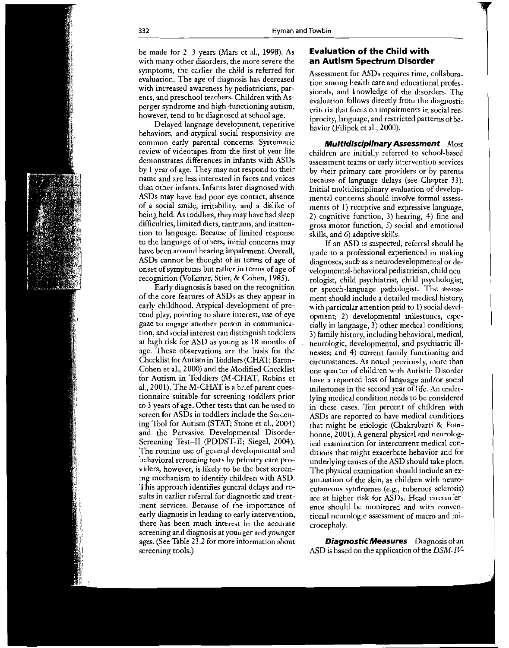332



be made for 2-3 years (Mars et al., 1998). As with many other disorders, the more severe the symptoms, the earlier the child is referred for evaluation. The age of diagnosis has deereased with increased awareness by pediatricians, parents, and preschool teachers. Children with Asperger syndrome and high-functioning autism, however, tend to be diagnosed at school age.

Delayed langnage development, repetitive behaviors, and atypical social responsivity are common early parental concerns. Systematic review of videotapes from the first of year life demonstrates differences in infants with ASDs by 1 year of age. They may not respond to their name and are less interested in faces and voices than other infants. Infants later diagnosed with ASDs may have had poor eye contact, absence of a social smile, irritability, and a dislike of being held. As toddlers, they may have had sleep difficulties, limited diets, tantrums, and inattention to language. Because of limited response to the language of others, initial concerns may have been around hearing impairment. Overall, ASDs cannot be thought of in terms of age of onset of symptoms but rather in terms of age of recognition (Volkmar, Stier, & Cohen, 1985).

Early diagnosis is based on the recognition of the core features of ASDs as they appear in early childhood. Atypical development of pretend play, pointing to share interest, use of eye gaze to engage another person in communication, and social interest can distingnish toddlers at high risk for ASD as young as 18 months of age. These observations are the basis for the Checklist for Autism in Toddlers (CHAT; Baron-Cohen et al., 2000) and the Modified Checklist for Autism in Toddlers (M-CHAT; Robins et al., 2001). The M-CHAT is a brief parent questionnaire suitable for screening toddlers prior to 3 years of age. Other tests that can be used to screen for ASDs in toddlers include the Screening Tool for Autism (STAT; Stone et al., 2004) and the Pervasive Developmental Disorder Screening Test-II (PDDST-II; Siegel, 2004). The routine use of general developmental and behavioral screening tests by primary care providers, however, is likely to be the best screening mechanism to identify children with ASD. This approach identifies general delays and results in earlier referral for diagnostic and treatment services. Because of the importance of early diagnosis in leading to early intervention, there has been much interest in the accurate screening and diagnosis at younger and younger ages. (See Table 23.2 for more information about screening tools.)

# **Evaluation of the Child with** an Autism Spectrum Disorder

Assessment for ASDs requires time, collaboration among health care and educational professionals, and knowledge of the disorders. The evaluation follows directly from the diagnostic criteria that focus on impairments in social reeiprocity, language, and restricted patterns of behavior (Filipek et al., 2000).

**Multidisciplinary Assessment** Most children are initially referred to school-based assessment teams or early intervention services by their primary care providers or by parents because of language delays (see Chapter 33). Initial multidisciplinary evaluation of developmental concerns should involve formal assessments of 1) receptive and expressive language, 2) cognitive function, 3) hearing, 4) fine and gross motor function, 5) social and emotional skills, and 6) adaptive skills.

If an ASD is suspected, referral should he made to a professional experienced in making diagnoses, such as a neurodevelopmental or developmental-behavioral pediatrieian, child neurologist, child psychiatrist, child psychologist, or speech-language pathologist. The assessment should include a detailed medical history, with particular attention paid to 1) social development; 2) developmental inilestones, especially in langnage; 3) other medical conditions; 3) family history, including behavioral, medical, neurologic, developmental, and psychiatric illnesses; and 4) current family functioning and circumstances. As noted previously, more than one quarter of children with Autistic Disorder have a reported loss of language and/or social inilestones in the second year of life. An underlying medical condition needs to be considered in these cases. Ten percent of children with ASDs are reported to have medical conditions that might be etiologic (Chakrabarti & Foinbonne, 2001). A general physical and neurological examination for intercurrent medical conditions that might exacerbate hehavior and for underlying causes of the ASD should take place. The physical examination should include an examination of the skin, as children with neurocutaneous syndromes (e.g., tuberous sclerosis) are at higher risk for ASDs. Head circumference should be monitored and with conventional neurologic assessment of macro and microcephaly.

**Diagnostic Measures** Diagnosis of an ASD is based on the application of the  $DSM$ -IV-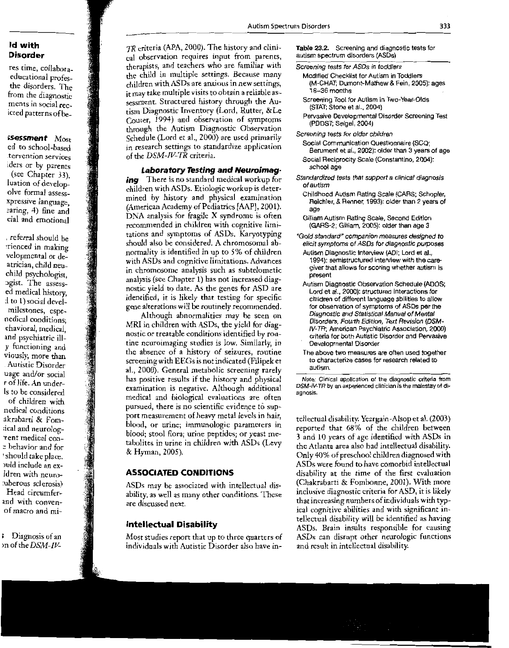# Id with Disorder

res time, collaboraeducational profesthe disorders. The from the diagnostic ments in social recicted patterns of be-

# ssessment Most

ed to school-based tervention services iders or by parents (see Chapter 33). luation of developolve formal assessxpressive language, caring, 4) fine and cial and emotional

, referral should be rienced in making velopmental or deatrician, child neuchild psychologist, ogist. The assessed medical history, d to 1) social develmilestones, espenedical conditions; chavioral, medical, and psychiatric illy functioning and viously, more than Autistic Disorder uage and/or social r of life. An under-Is to be considered of children with nedical conditions akrabarti & Fomical and neurologrent medical cone behavior and for should take place. ould include an exldren with neurouberous sclerosis)

Head circumferand with convenof macro and mi-

 $\cdot$  Diagnosis of an on of the *DSM-IV*-

TR criteria (APA, 2000). The history and clinical observation requires input from parents, therapists, and teachers who are familiar with the child in multiple settings. Because many children with ASDs are anxious in new settings, it may take multiple visits to obtain a reliable assessment. Structured history through the Autism Diagnostic Inventory (Lord, Rutter, & Le Couter, 1994) and observation of symptoms through the Autism Diagnostic Observation Schedule (Lord et al., 2000) are used primarily in research settings to standardize application of the DSM-IV-TR criteria.

### Laboratory Testing and Neuroimag-

ing There is no standard medical workup for children with ASDs. Etiologic workup is determined by history and physical examination (American Academy of Pediatrics [AAP], 2001). DNA analysis for fragile X syndrome is often recommended in children with cognitive limitations and symptoms of ASDs. Karyotyping should also be considered. A chromosomal abnormality is identified in up to 5% of children with ASDs and cognitive limitations. Advances in chromosome analysis such as subtelometic analysis (see Chapter 1) has not increased diagnostic yield to date. As the genes for ASD are identified, it is likely that testing for specific gene alterations will be routinely recommended.

Although abnormalities may be seen on MRI in children with ASDs, the yield for diagnostic or treatable conditions identified by routine neuroimaging studies is low. Similarly, in the absence of a history of seizures, routine screening with EEGs is not indicated (Filipek et al., 2000). General metabolic screening rarely has positive results if the history and physical examination is negative. Although additional medical and biological evaluations are often pursued, there is no scientific evidence to support measurement of heavy metal levels in hair, blood, or urine; immunologic parameters in blood; stool flora; urine peptides; or yeast metabolites in urine in children with ASDs (Levy & Hyman, 2005).

### **ASSOCIATED CONDITIONS**

ASDs may be associated with intellectual disability, as well as many other conditions. These are discussed next.

### **Intellectual Disability**

Most studies report that up to three quarters of individuals with Autistic Disorder also have inTable 23.2. Screening and diagnostic tests for autism spectrum disorders (ASDs)

- Screening tests for ASDs in toddlers
	- Modified Checklist for Autism in Toddlers (M-CHAT; Dumont-Mathew & Fein, 2005): ages 18–36 months
- Screening Tool for Autism in Two-Year-Olds (STAT; Stone et al., 2004)
- Pervasive Developmental Disorder Screening Test (PDDST; Seigel, 2004)
- Screening tests for older children
	- Social Communication Questionnaire (SCQ; Berument et al., 2002): older than 3 years of age Social Reciprocity Scale (Constantino, 2004): school age
- Standardized tests that support a clinical diagnosis oi autism
- Childhood Autism Rating Scale (CARS; Schopler, Reichler, & Renner, 1993): older than 2 years of age
- Gilliam Autism Rating Scale, Second Edition (GARS-2; Gilliam, 2005): older than age 3
- "Gold standard" companion measures designed to elicit symptoms of ASDs for diagnostic purposes
	- Autism Diagnostic Interview (ADI; Lord et al., 1994): semistructured interview with the caregiver that allows for scoring whether autism is present
- Autism Diagnostic Observation Schedule (ADOS; Lord et al., 2000): structured interactions for children of different language abilities to allow for observation of symptoms of ASDs per the Diagnostic and Statistical Manual of Mental Disorders, Fourth Edition, Text Revision (DSM-IV-TR; American Psychiatric Association, 2000) criteria for both Autistic Disorder and Pervasive Developmental Disorder
- The above two measures are often used together to characterize cases for research related to autism.

Note: Clinical application of the diagnostic criteria from DSM-IV-TR by an experienced clinician is the mainstay of diagnosis.

tellectual disability. Yeargain-Alsop et al. (2003) reported that 68% of the children between 3 and 10 years of age identified with ASDs in the Atlanta area also bad intellectual disability. Only 40% of preschool children diagnosed with ASDs were found to have comorbid intellectual disability at the time of the first evaluation (Chakrabarti & Fombonne, 2001). With more inclusive diagnostic criteria for ASD, it is likely that increasing numbers of individuals with typical cognitive abilities and with significant intellectual disability will be identified as having ASDs. Brain insults responsible for causing ASDs can disrupt other neurologic functions and result in intellectual disability.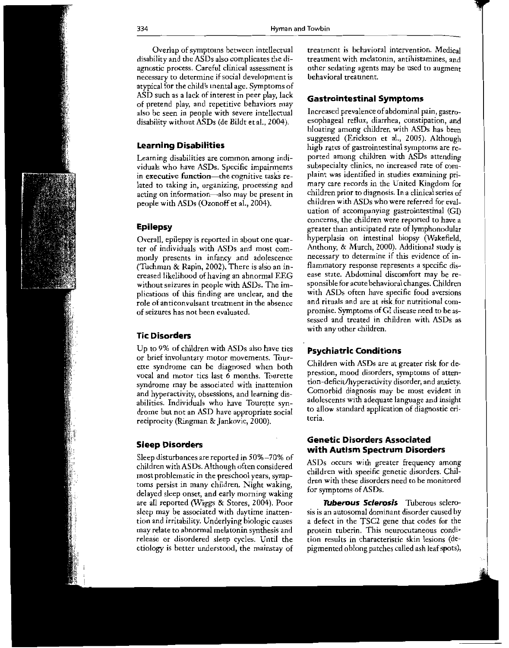334

Overlap of symptoins between intellectual disability and the ASDs also complicates the diagnostic process. Careful clinical assessment is necessary to determine if social development is atypical for the child's mental age. Symptoms of ASD such as a lack of interest in peer play, lack of pretend play, and repetitive behaviors may also be seen in people with severe intellectual disability without ASDs (de Bildt et al., 2004).

# **Learning Disabilities**

Learning disabilities are common among individuals who have ASDs. Specific impairments in executive function—the cognitive tasks related to taking in, organizing, processing and acting on information—also may be present in people with ASDs (Ozonoff et al., 2004).

# **Epilepsy**

Overall, epilepsy is reported in about one quarter of individuals with ASDs and most commonly presents in infancy and adolescence (Tuchman & Rapin, 2002). There is also an increased likelihood of having an abnormal EEG without seizures in people with ASDs. The implications of this finding are unclear, and the role of anticonvulsant treatment in the absence of seizures has not been evaluated.

# **Tic Disorders**

Up to 9% of children with ASDs also have tics or brief involuntary motor movements. Tourette syndrome can be diagnosed when both vocal and motor tics last 6 months. Tourette syndrome may be associated with inattention and hyperactivity, obsessions, and learning disabilities. Individuals who have Tourette syndrome but not an ASD have appropriate social reciprocity (Ringman & Jankovic, 2000).

### Sleep Disorders

Sleep disturbances are reported in 50%-70% of children with ASDs. Although often considered most problematic in the preschool years, symptoms persist in many children. Night waking, delayed sleep onset, and early morning waking are all reported (Wiggs & Stores, 2004). Poor sleep may be associated with daytime inattention and irritability. Underlying biologic causes may relate to abnormal melatonin synthesis and release or disordered sleep cycles. Until the etiology is better understood, the mainstay of

treatment is behavioral intervention. Medical treatment with melatonin, antihistamines, and other sedating agents may be used to augment behavioral treatment.

### Gastrointestinal Symptoms

Increased prevalence of abdominal pain, gastroesophageal reflux, diarrhea, constipation, and bloating among children with ASDs has been suggested (Erickson et al., 2005). Although higb rates of gastrointestinal symptoms are reported among children with ASDs attending subspecialty clinics, no increased rate of complaint was identified in studies examining primary care records in the United Kingdom for children prior to diagnosis. In a clinical series of children with ASDs who were referred for evaluation of accompanying gastrointestinal (GI) concerns, the children were reported to have a greater than anticipated rate of lymphonodular hyperplasia on intestinal biopsy (Wakefield, Anthony, & Murch, 2000). Additional study is necessary to determine if this evidence of in--flammatory response represents a specific dis ease state. Abdominal discomfort may be responsible for acute behavioral changes. Children with ASDs often have specific food aversions and rituals and are at risk for nutritional compromise. Symptoms of GI disease need to be assessed and treated in children with ASDs as with any other children.

### **Psychiatric Conditions**

Children with ASDs are at greater risk for depression, mood disorders, symptoms of attention-deficit/hyperactivity disorder, and anxiety. Comorbid diagnosis may be most evident in adolescents with adequate language and insight to allow standard application of diagnostic criteria.

# **Genetic Disorders Associated** with Autism Spectrum Disorders

ASDs occurs with greater frequency among children with speeific genetic disorders. Children with these disorders need to be monitored for symptoms of ASDs.

Tuberous Sclerosis Tuberous sclerosis is an autosomal dominant disorder caused by a defect in the TSC2 gene that codes for the protein tuberin. This neurocutaneous condition results in characteristic skin lesions (depigmented oblong patches called ash leaf spots),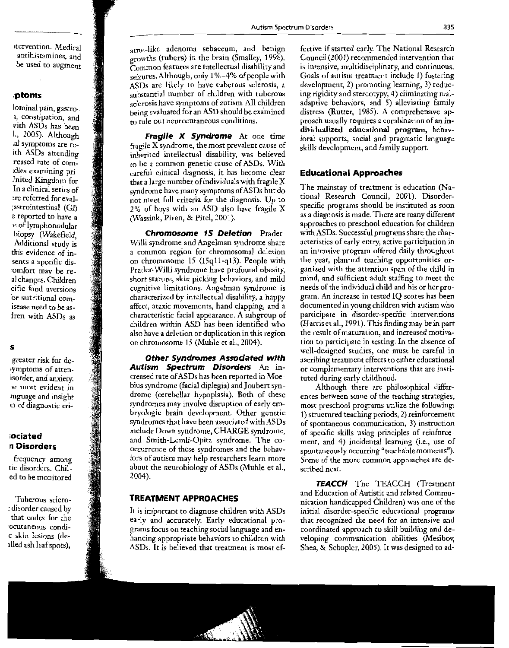tervention. Medical antihistamines, and be used to augment

# **ptoms**

lominal pain, gastroa, constipation, and vith ASDs has been l., 2005). Although al symptoms are reith ASDs attending reased rate of comidies examining pri-Inited Kingdom for In a clinical series of ere referred for evalastrointestinal (GI) e reported to have a e of lymphonodular biopsy (Wakefield, Additional study is this evidence of insents a specific disomfort may be real changes. Children cific food aversions or nutritional comisease need to be asiren with ASDs as

greater risk for desymptoms of attenisorder, and anxiety. be most evident in inguage and insight n of diagnostic cri-

# ociated n Disorders

frequency among tic disorders. Chiled to be monitored

Tuberous sclero-: disorder caused by that codes for the ocutaneous condic skin lesions (deilled ash leaf spots),

acne-like adenoma sebaceum, and benign growths (tubers) in the brain (Smalley, 1998). Common features are intellectual disability and seizures. Although, only  $1\% - 4\%$  of people with ASDs are likely to have tuberous sclerosis, a substantial number of children with tuberous sclerosis have symptoms of autism. All children being evaluated for an ASD should be examined to rule out neurocutaneous conditions.

Fragile X Syndrome At one time fragile  $X$  syndrome, the most prevalent cause of inherited intellectual disability, was believed to be a common genetic cause of ASDs. With careful clinical diagnosis, it has become clear that a large number of individuals with fragile  ${\bf X}$ syndrome have many symptoms of ASDs but do not meet full criteria for the diagnosis. Up to 2% of boys with an ASD also have fragile X (Wassink, Piven, & Pitel, 2001).

**Chromosome 15 Deletion** Prader-Willi syndrome and Angelman syndrome share a common region for chromosomal deletion on chromosome  $15$  (15q11-q13). People with Prader-Willi syndrome have profound obesity, short stature, skin picking behaviors, and mild cognitive limitations. Angelman syndrome is characterized by intellectual disability, a happy affect, ataxic movements, hand clapping, and a characteristic facial appearance. A subgroup of children within ASD has been identified who also have a deletion or duplication in this region on chromosome 15 (Muhle et al., 2004).

Other Syndromes Associated with Autism Spectrum Disorders An increased rate of ASDs has been reported in Moebius syndrome (facial diplegia) and Joubert syndrome (cerebellar hypoplasia). Both of these syndromes may involve disruption of early embryologic brain development. Other genetic syndromes that have been associated with ASDs include Down syndrome, CHARGE syndrome, and Smith-Lemli-Opitz syndrome. The cooccurrence of these syndromes and the behaviors of autism may help researchers learn more about the neurobiology of ASDs (Muhle et al., 2004).

# **TREATMENT APPROACHES**

It is important to diagnose children with ASDs early and accurately. Early educational programs focus on teaching social language and enhancing appropriate behaviors to children with ASDs. It is believed that treatment is most effective if started early. The National Research Council (2001) recommended intervention that is intensive, multidisciplinary, and continuous. Goals of autism treatment include 1) fostering development, 2) promoting learning, 3) reducing rigidity and stereotypy, 4) eliminating maladaptive behaviors, and 5) alleviating family distress (Rutter, 1985). A comprehensive approach usually requires a combination of an individualized educational program, behavioral supports, social and pragmatic language skills development, and family support.

# **Educational Approaches**

The mainstay of treatment is education (National Research Council, 2001). Disorderspecific programs should be instituted as soon as a diagnosis is made. There are many different approaches to preschool education for children with ASDs. Successful programs share the characteristics of early entry, active participation in an intensive program offered daily throughout the year, planned teaching opportunities organized with the attention span of the child in mind, and sufficient adult staffing to meet the needs of the individual child and his or her program. An increase in tested IQ scores has been documented in young children with autism who participate in disorder-specific interventions (Harris et al., 1991). This finding may be in part the result of maturation, and increased motivation to participate in testing. In the absence of well-designed studies, one must be careful in ascribing treatment effects to either educational or complementary interventions that are instituted during early childhood.

Although there are philosophical differences between some of the teaching strategies, most preschool programs utilize the following: 1) structured teaching periods, 2) reinforcement of spontaneous communication, 3) instruction of specific skills using principles of reinforcement, and 4) incidental learning (i.e., use of spontaneously occurring "teachable moments"). Some of the more common approaches are described next.

TEACCH The TEACCH (Treatment and Education of Autistic and related Communication handicapped Children) was one of the initial disorder-specific educational programs that recognized the need for an intensive and coordinated approach to skill building and developing communication abilities (Mesibov, Shea, & Schopler, 2005). It was designed to ad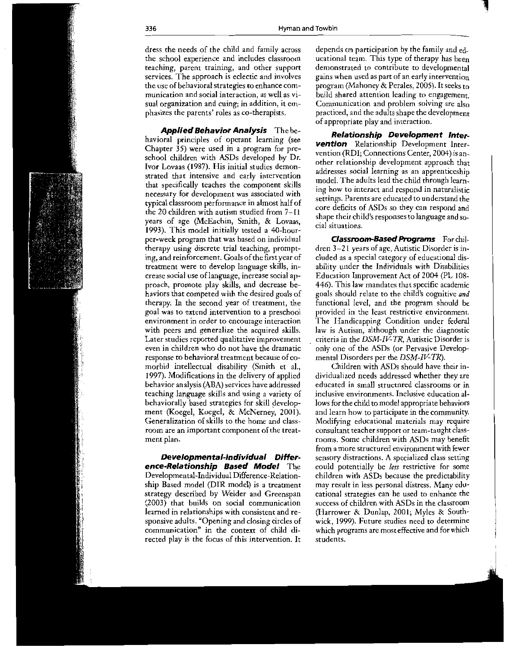dress the needs of the child and family across the school experience and includes classroom teaching, parent training, and other support services. The approach is eclectic and involves the use of behavioral strategies to enhance communication and social interaction, as well as visual organization and cuing; in addition, it  $em$ phasizes the parents' roles as co-therapists.

336

**Applied Behavior Analysis** The behavioral principles of operant learning (see Chapter 35) were used in a program for preschool children with ASDs developed by Dr. Ivor Lovaas (1987). His initial studies demonstrated that intensive and early intervention that specifically teaches the component skills necessary for development was associated with typical classroom performance in almost half of the 20 children with autism studied from  $7-11$ years of age (McEachin, Smith, & Lovaas, 1993). This model initially tested a 40-hourper-week program that was based on individual therapy using discrete trial teaching, prompting, and reinforcement. Goals of the first year of treatment were to develop language skills, increase social use of language, increase social approach, promote play skills, and decrease behaviors that competed with the desired goals of therapy. In the second year of treatment, the goal was to extend intervention to a preschool environment in order to encourage interaction with peers and generalize the acquired skills. Later studies reported qualitative improvement even in children who do not have the dramatic response to behavioral treatment because of comorbid intellectual disability (Smith et al., 1997). Modifications in the delivery of applied behavior analysis (ABA) services have addressed teaching language skills and using a variety of behaviorally based strategies for skill development (Koegel, Koegel, & McNerney, 2001). Generalization of skills to the home and classroom are an important component of the treatment plan.

# Developmental-Individual Difference-Relationship Based Model The Developmental-Individual Difference-Relationship Based model (DIR model) is a treatment strategy described by Weider and Greenspan (2003) that builds on social communication learned in relationships with consistent and responsive adults. "Opening and closing circles of communication" in the context of child directed play is the focus of this intervention. It

depends on participation by the family and educational team. This type of therapy has been demonstrated to contribute to developmental gains when used as part of an early intervention program (Mahoney & Perales, 2005). It seeks to build shared attention leading to engagement. Communication and problem solving are also practiced, and the adults shape the development of appropriate play and interaction.

Relationship Development Inter**vention** Relationship Development Intervention (RDI; Connections Center, 2004) is another relationship development approach that addresses social learning as an apprenticeship model. The adults lead the child through learning how to interact and respond in naturalistic settings. Parents are educated to understand the core deficits of ASDs so they can respond and shape their child's responses to language and social situations.

**Classroom-Based Programs** For children 3–21 years of age, Autistic Disorder is included as a special category of educational disability under the Individuals with Disabilities Education Improvement Act of 2004 (PL 108-446). This law mandates that specific academic goals should relate to the child's cognitive *and* functional level, and the program should be provided in the least restrictive environment. The Handicapping Condition under federal law is Autism, although under the diagnostic criteria in the DSM-IV-TR, Autistic Disorder is only one of the ASDs (or Pervasive Developmental Disorders per the DSM-IV-TR).

Children with ASDs should have their individualized needs addressed whether they are educated in small structnred classrooms or in inclusive environments. Inclusive education allows for the child to model appropriate behaviors and learn how to participate in the community. Modifying educational materials may require consultant teacher support or team-taught classrooms. Some children with ASDs may benefit from a more structured environment with fewer sensory distractions. A specialized class setting could potentially be *less* restrictive for some children with ASDs because the predictability may result in less personal distress. Many educational strategies can he used to enhance the success of children with ASDs in the classroom (Harrower & Dunlap, 2001; Myles & Southwick, 1999). Future studies need to determine which programs are most effective and for which students.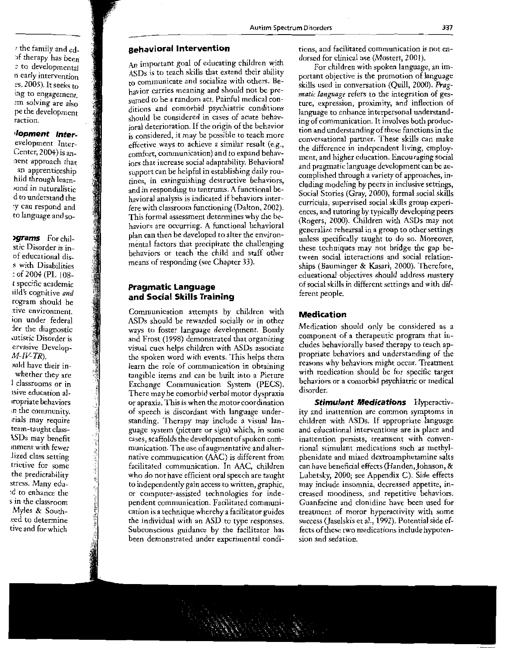the family and edof therapy has been e to developmental n early intervention es, 2005). It seeks to ing to engagement. em solving are also pe the development raction.

lopment Interevelopment Inter-Center,  $2004$ ) is annent approach that an apprenticeship hild through learnond in naturalistic d to understand the y can respond and to language and so-

**Syrams** For chilstic Disorder is inof educational diss with Disabilities t of 2004 (PL 108t specific academic uld's cognitive and rogram should be tive environment. ion under federal der the diagnostic utistic Disorder is ervasive Develop- $M$ -IV-TR).

ould have their inwhether they are I classrooms or in isive education alropriate behaviors in the community. rials may require team-taught class-ASDs may benefit mment with fewer lized class setting trictive for some the predictability stress. Many edud to enhance the s in the classroom Myles & Southeed to determine tive and for which

f.

# **Behavioral Intervention**

An important goal of educating children with ASDs is to teach skills that extend their ability to communicate and socialize with others. Behavior carries meaning and should not be presumed to be a random act. Painful medical conditions and comorbid psychiatric conditions should be considered in cases of acute behavjoral deterioration. If the origin of the behavior is considered, it may be possible to teach more effective ways to achieve a similar result (e.g., comfort, communication) and to expand behaviors that increase social adaptability. Behavioral support can be helpful in establishing daily routines, in extinguishing destructive behaviors, and in responding to tantrums. A functional behavioral analysis is indicated if behaviors interfere with classroom functioning (Dalton, 2002). This formal assessment determines why the behaviors are occurring. A functional behavioral plan can then be developed to alter the environmental factors that precipitate the challenging behaviors or teach the child and staff other means of responding (see Chapter 33).

# Pragmatic Language and Social Skills Training

Communication attempts by children with ASDs should be rewarded socially or in other ways to foster language development. Bondy and Frost (1998) demonstrated that organizing visual cues helps children with ASDs associate the spoken word with events. This helps them learn the role of communication in obtaining tangible items and can be built into a Picture Exchange Communication System (PECS). There may be comorbid verbal motor dyspraxia or apraxia. This is when the motor coordination of speech is discordant with language understanding. Therapy may include a visual language system (picture or sigu) which, in some cases, scaffolds the development of spoken communication. The use of augmentative and alternative communication (AAC) is different from facilitated communication. In AAC, children who do not have efficient oral speech are taught to independently gain access to written, graphic, or computer-assisted technologies for independent communication. Facilitated communication is a technique whereby a facilitator guides the individual with an ASD to type responses. Subconscious guidance by the facilitator has been demonstrated under experimental conditions, and facilitated communication is not endorsed for clinical use (Mostert, 2001).

For children with spoken language, an important objective is the promotion of language skills used in conversation (Quill, 2000). Prag*matic language* refers to the integration of gesture, expression, proximity, and inflection of language to enhance interpersonal understanding of communication. It involves both production and understanding of these functions in the conversational partner. These skills can make the difference in independent living, employment, and higher education. Encouraging social and pragmatic language development can be accomplished through a variety of approaches, including modeling by peers in inclusive settings, Social Stories (Gray, 2000), formal social skills curricula, supervised social skills group experiences, and tutoring by typically developing peers (Rogers, 2000). Children with ASDs may not generalize rehearsal in a group to other settings unless specifically taught to do so. Moreover, these techniques may not bridge the gap between social interactions and social relationships (Bauminger & Kasari, 2000). Therefore, edueational objectives should address mastery of social skills in different settings and with different people.

# Medication

Medication should only be considered as a component of a therapeutic program that includes behaviorally based therapy to teach appropriate behaviors and understanding of the reasons why behaviors might occur. Treatment with medication should be for specific target behaviors or a comorbid psychiatric or medical disorder.

**Stimulant Medications** Hyperactivity and inattention are common symptoms in children with ASDs. If appropriate language and educational interventions are in place and inattention persists, treatment with conventional stimulant medications such as methylphenidate and mixed dextroamphetamine salts can have beneficial effects (Handen, Johnson, & Lubetsky, 2000; see Appendix C). Side effects may include insomnia, decreased appetite, increased moodiness, and repetitive behaviors. Guanfacine and clonidine have been used for treatment of motor hyperactivity with some success (Jaselskis et al., 1992). Potential side effects of these two medications include hypotension and sedation.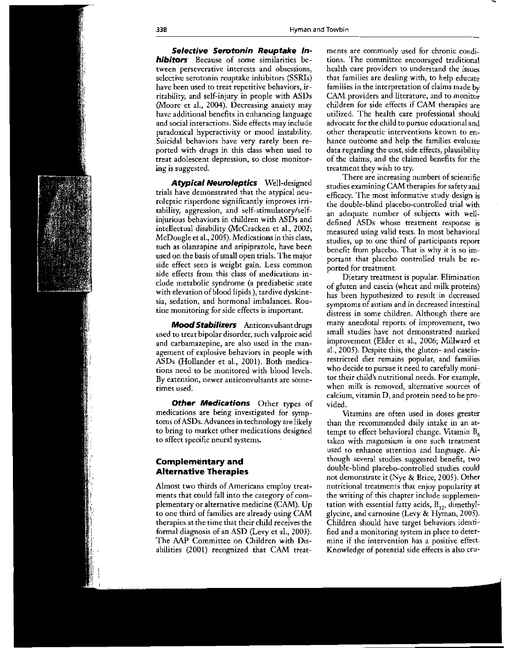Selective Serotonin Reuptake In**hibitors** Because of some similarities between perseverative interests and obsessions, selective serotonin reuptake inhibitors (SSRIs) have been used to treat repetitive behaviors, irritability, and self-injury in people with ASDs (Moore et al., 2004). Decreasing anxiety may have additional benefits in enhancing language and social interactions. Side effects may include paradoxical hyperactivity or mood instability. Suicidal behaviors have very rarely been reported with drugs in this class when used to treat adolescent depression, so close monitoring is suggested.

Atypical Neuroleptics Well-designed trials have demonstrated that the atypical neuroleptic risperdone significantly improves irritability, aggression, and self-stimulatory/selfinjurious behaviors in children with ASDs and intellectual disability (McCracken et al., 2002; McDougle et al., 2005). Medications in this class, such as olanzapine and aripiprazole, have been used on the basis of small open trials. The major side effect seen is weight gain. Less common side effects from this class of medications include metabolic syndrome (a prediabetic state with elevation of blood lipids), tardive dyskinesia, sedation, and hormonal imbalances. Routine monitoring for side effects is important.

**Mood Stabilizers** Anticonvulsant drugs used to treat bipolar disorder, such valproic acid and carbamazepine, are also used in the management of explosive behaviors in people with ASDs (Hollander et al., 2001). Both medications need to be monitored with blood levels. By extension, newer anticonvulsants are sometimes used.

Other Medications Other types of medications are being investigated for symptoms of ASDs. Advanees in technology are likely to bring to market other medications designed to affect specific neural systems.

# Complementary and Alternative Therapies

Almost two thirds of Americans employ treatments that could fall into the category of complementary or alternative medicine (CAM). Up to one third of families are already using CAM therapies at the time that their child receives the formal diagnosis of an ASD (Levy et al., 2003). The AAP Committee on Children with Disabilities (2001) recognized that CAM treatments are commonly used for chronic conditions. The committee encouraged traditional health care providers to understand the issues that families are dealing with, to help educate families in the interpretation of claims made by CAM providers and literature, and to monitor children for side effects if CAM therapies are utilized. The health care professional should advocate for the child to pursue educational and other therapeutic interventions known to enhance outcome and help the families evaluate data regarding the cost, side effects, plausibility of the claims, and the claimed benefits for the treatment they wish to try.

There are increasing numbers of scientific studies examining CAM therapies for safety and efficacy. The most informative study design is the double-blind placebo-controlled trial with an adequate number of subjects with welldefined ASDs whose treatment response is measured using valid tests. In most behavioral studies, up to one third of participants report benefit from placebo. That is why it is so important that placebo controlled trials be reported for treatment.

Dietary treatment is popular. Elimination of gluten and casein (wheat and milk proteins) has been hypothesized to result in decreased symptoms of autism and in decreased intestinal distress in some children. Although there are many anecdotal reports of improvement, two small studies have not demonstrated niarked improvement (Elder et al., 2006; Millward et al., 2005). Despite this, the gluten- and caseinrestricted diet remains popular, and families who decide to pursue it need to carefully monitor their child's nutritional needs. For example, when milk is removed, alternative sources of calcium, vitamin D, and protein need to be provided.

Vitamins are often used in doses greater than the recommended daily intake in an attempt to effect behavioral change. Vitamin B<sub>6</sub> taken with magnesium is one such treatment used to enhance attention and language. Although several studies suggested benefit, two double-blind placebo-controlled studies could not demonstrate it (Nye & Brice, 2005). Other nutritional treatments that enjoy popularity at the writing of this chapter include supplementation with essential fatty acids,  $B_{12}$ , dimethylglycine, and carnosine (Levy & Hyman, 2005). Children should have target behaviors identified and a monitoring system in place to determine if the intervention has a positive effect. Knowledge of potential side effects is also cru-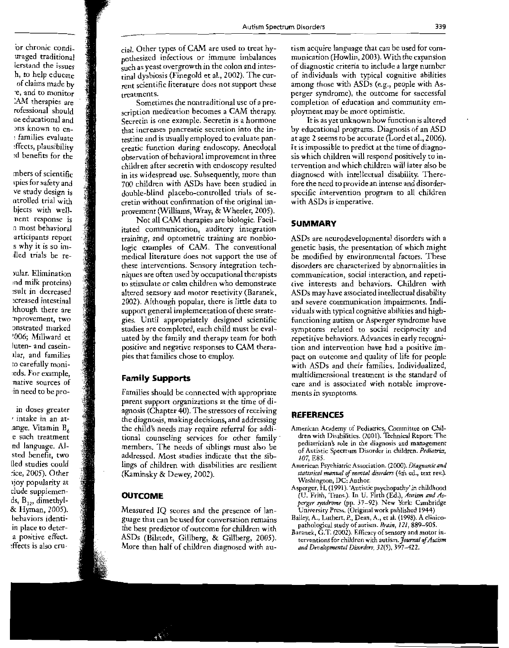or chronic condiuraged traditional lerstand the issues h, to help educate of claims made by e, and to monitor AM therapies are rofessional should ue educational and ons known to en-: families evaluate :ffccts, plausibility d benefits for the

mbers of scientific spies for safety and ve study design is ntrolled trial with bjects with wellnent response is n most behavioral articipants report s why it is so imlled trials be re-

oular. Elimination ind milk proteins) sult in decreased ecreased intestinal lthough there are mprovement, two onstrated marked :006; Millward et luten- and caseinilar, and families to carefully monieds. For example, native sources of in need to be pro-

in doses greater *i* intake in an atange. Vitamin  $B_6$ e such treatment nd language. Alsted benefit, two lled studies could rice, 2005). Other njoy popularity at clude supplemends,  $B_{12}$ , dimethyl-& Hyman, 2005). behaviors identiin place to detera positive effect. effects is also crucial. Other types of CAM are used to treat hypothesized infectious or immune imbalances such as yeast overgrowth in the colon and intestinal dysbiosis (Finegold et al., 2002). The current scientific literature does not support these treatments.

Sometimes the nontraditional use of a prescription medication becomes a CAM therapy. Secretin is one example. Secretin is a hormone that increases pancreatie secretion into the intestine and is usually employed to evaluate pancreatic function during endoscopy. Anecdotal observation of behavioral improvement in three children after secretin with endoscopy resulted in its widespread use. Subsequently, more than 700 children with ASDs have been studied in double-blind placebo-controlled trials of secretin without confirmation of the original improvement (Williams, Wray, & Wheeler, 2005).

Not all CAM therapies are biologic. Facilitated communication, auditory integration training, and optometric training are nonbiologic examples of CAM. The conventional medical literature does not support the use of these interventions. Sensory integration techniques are often used by occupational therapists to stimulate or calm children who demonstrate altered sensory and motor reactivity (Baranek, 2002). Although popular, there is little data to support general implementation of these strategies. Until appropriately designed scientific studies are completed, each child must be evaluated by the family and therapy team for both positive and negative responses to CAM therapies that families chose to employ.

### **Family Supports**

Families should be connected with appropriate parent support organizations at the time of diagnosis (Chapter 40). The stressors of receiving the diagnosis, making decisions, and addressing the child's needs may require referral for additional counseling services for other family members. The needs of siblings must also be addressed. Most studies indicate that the siblings of children with disabilities are resilient (Kaminsky & Dewey, 2002).

### OUTCOME

Measured IQ scores and the presence of language that can be used for conversation remains the best predictor of outcome for children with ASDs (Bilstedt, Gillberg, & Gillberg, 2005). More than half of children diagnosed with autism acquire language that can be used for communication (Howlin, 2003). With the expansion of diagnostic criteria to include a large number of individuals with typical cognitive abilities among those with ASDs (e.g., people with Asperger syndrome), the outcome for successful completion of education and community employment may be more optimistic.

It is as yet unknown how function is altered by educational programs. Diagnosis of an ASD at age 2 seems to be accurate (Lord et al., 2006). It is impossible to predict at the time of diagnosis which children will respond positively to intervention and which children will later also be diagnosed with intellectual disability. Therefore the need to provide an intense and disorderspecific intervention program to all children with ASDs is imperative.

### **SUMMARY**

ASDs are neurodevelopmental disorders with a genetic basis, the presentation of which might be modified by environmental factors. These disorders are characterized by abnormalities in communication, social interaction, and repetitive interests and behaviors. Children with ASDs may have associated intellectual disability and severe communication impairments. Individuals with typical cognitive abilities and highfunctioning autism or Asperger syndrome have symptoms related to social reciprocity and repetitive behaviors. Advances in early recognition and intervention have had a positive impact on outcome and quality of life for people with ASDs and their families. Individualized, multidimensional treatment is the standard of care and is associated with notable improvements in symptoms.

### **REFERENCES**

- American Academy of Pediatrics, Committee on Children with Disabilities. (2001). Technical Report. The pediatrician's role in the diagnosis and management of Autistic Specrrum Disorder in children. Pediatrics, 107, E85
- American Psychiatric Association. (2000). Diagnostic and statistical manual of mental disorders (4th ed., text rev.). Washington, DC: Author.
- Asperger, H. (1991). 'Autistic psychopathy' in childhood U. Frith, Trans.). In U. Firth (Ed.), *Autism and As*erger syndrome (pp. 37-92). New York: Cambridge University Press. (Original work published 1944)
- Bailey, A., Luthert, P., Dean, A., et al. (1998). A clinicopathological study of autism. Brain, 121, 889-905.
- Baranek, G.T. (2002). Efficacy of sensory and motor interventions for children with autism. Journal of Autism and Developmental Disorders, 32(5), 397-422.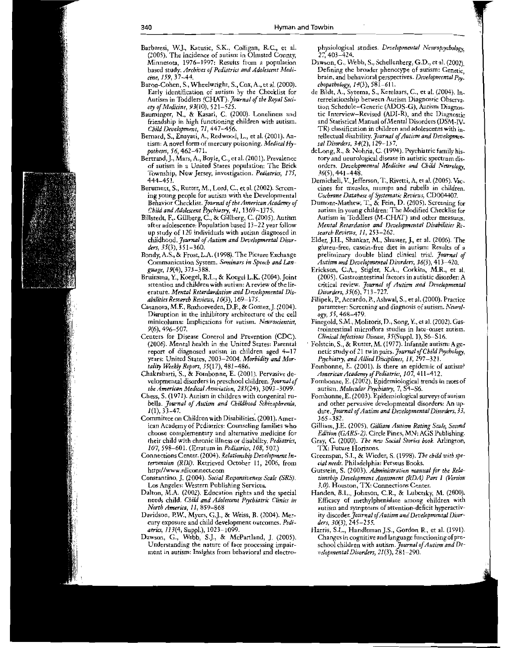- Barbaresi, W.J., Katusic, S.K., Colligan, R.C., et al. (2005). The incidence of autism in Olmsted County, Minnesota, 1976-1997: Results from a population based study. Archives of Pediatrics and Adolescent Medicene, 159, 37–44.
- Baron-Cohen, S., Wheelwright, S., Cox, A., et al. (2000). Early identification of autism by the Checklist for Autism in Toddlers (CHAT). *Journal of the Royal Soci*ety of Medicine, 93(10), 521–525.
- Bauminger, N., & Kasari, C. (2000). Loneliness and friendship in high functioning children with autism. Child Development, 71, 447–456.
- Bernard, S., Enayati, A., Redwood, L., et al. (2001). Autism: A novel form of mercury poisoning. Medical Hypotheses, 56, 462–471.
- Bertrand, J., Mars, A., Boyle, C., et al. (2001). Prevalencc of autism in a United States population: The Brick Township, New Jersey, investigation. Pediatrics, 175, 444–451.
- Berument, S., Rutter, M., Lord, C., et al. (2002). Scrcening young people for autism with the Developmental Behavior Checklist. Journal of the American Academy of Child and Adolescent Psychiatry, 41, 1369–1375.
- Billstedt, F., Gillberg, C., & Gillberg, C. (2005). Autism after adolescence: Population based 13–22 year follow up study of 120 individuals with autism diagnosed in childhood. Journal of Autism and Developmental Disorders, 35(3), 351-360.
- Bondy, A.S., & Frost, L.A. (1998). The Picture Exchange Communication System. Seminars in Speech and Language, 19(4), 373–388.
- Bruinsma, Y., Koegel, R.L., & Koegel L.K. (2004). Joint attention and children with autism: A review of the literature. Mental Retardardation and Developmental Disabilities Research Reviews, 10(3), 169-175.
- Casanova, M.F., Buxhoeveden, D.P., & Gomez, J. (2004). Disruption in the inhibitory architecture of the cell minicolumn: Implications for autism. Neuroscientist, 9(6), 496-507.
- Centers for Disease Control and Prevention (CDC). (2006). Mental health in the United States: Parental report of diagnosed autism in children aged 4–17 years: United States, 2003-2004. Morbidity and Mortality Weekly Report, 55(17), 481–486.
- Chakrabarti, S., & Fombonne, E. (2001). Pervasive developmental disorders in preschool children. *Journal of* the American Medical Association, 285(24), 3093–3099.
- Chess, S. (1971). Autism in children with congenital rubella. Journal of Autism and Childhood Schizophrenia,  $I(1), 33-47.$
- Committee on Children with Disabilities. (2001). American Academy of Pcdiatrics: Counseling families who choose complementary and alternative medicine for their child with chronic illness or disability. *Pediatrics*, 107, 598-601. (Erratum in Pediatrics, 108, 507.)
- Connections Center. (2004). *Relationship Development In*tervention (RDI). Retrieved October 11, 2006, from http://www.rdiconnect.com
- Constantino, J. (2004). Social Responsiveness Scale (SRS). Los Angeles: Western Publishing Services.
- Dalton, M.A. (2002). Education rights and the special needs child. Child and Adolescent Psychiatric Clinics in North A<del>m</del>erica, 11, 859–868
- Davidson, P.W., Myers, G.J., & Weiss, B. (2004). Mercury exposure and child development outcomes. Pedi*atrics, 113*(4, Suppl.), 1023–1099
- Dawson, G., Webb, S.J., & McPartland, J. (2005). Understanding the nature of face processing impairment in autism: Insights from behavioral and electro-

physiological studies. Developmental Neuropsychology, 27, 403–424.

- Dawson, G., Webb, S., Schellenberg, G.D., et al. (2002). Defining the broader phenotype of autism: Genetic, brain, and behavioral perspectives. *Developmental Psy*chopathology, 14(3), 581–611.
- de Bildt, A., Sytema, S., Ketelaars, C., et al. (2004). Interrelationship between Autism Diagnostic Observation Schedule-Generic (ADOS-G), Autism Diagnostic Interview-Revised (ADI-R), and the Diagnostic and Statistical Manual of Mental Disorders (DSM-IV-TR) classification in children and adolescents with  $\mathsf{in}\text{-}$ tellectual disability. Journal of Autism and Developmental Disorders, 34(2), 129-137.
- deLong, R., & Nohria, C. (1994). Psychiatric family history and ueurological disease in autistic spectrum disorders. Developmental Medicine and Child Neurology, 36(5), 441–448.
- Demicheli, V., Jefferson, T., Rivetti, A, et al. (2005). Vaccines for measles, numps and rubella in children. Cochrane Database of Systematic Reviews, CD004407.
- Dumont-Mathew, T., & Fein, D. (2005). Screening for autism in young children: The Modified Checklist for Autism in Toddlers (M-CHAT) and other measures. Mental Retardation and Developmental Disabilities Research Reviews, 11, 253–262.
- Elder, J.H., Shankar, M., Shuster, J., et al. (2006). The gluteu-free, casein-free diet in autism: Results of a preliminary double blind clinical trial. Journal of Autism and Developmental Disorders, 36(3), 413–420.
- Erickson, C.A., Stigler, K.A., Corkins, M.R., et al. (2005). Gastrointestinal factors in autistic disorder: A critical review. Journal of Autism and Developmental<br>Disorders, 35(6), 713-727.
- Filipek, P., Accardo, P., Ashwal, S., et al. (2000). Practice parameter: Screening and diagnosis of autism. Newology, 55, 468–479.
- Finegold, S.M., Molitoris, D., Song, Y., et al. (2002). Gastrointestinal microflora studies in late-onset autism. Clinical Infectious Disease, 35(Suppl. 1), S6-S16.
- Folstein, S., & Rutter, M. (1977). Infantile autism: Agenetic study of 21 twin pairs. Journal of Child Psychology, Psychiatry, and Allied Disciplines, 18, 297–321.
- Foinbonne, E. (2001). Is there an epidemic of antism? American Academy of Pediatrics, 107, 411–412.
- Fomboune, E. (2002). Epidemiological trends in rates of autism. *Molecular Psychiatry*, 7, S4–S6.
- Fomhonne, E. (2003). Epidemiological surveys of autism and other pervasive developmental disorders: An updare. Journal of Autism and Developmental Disorders, 33,  $365 - 382.$
- Gilliam, J.E. (2005). *Gilliam Autism Rating Scale, Second* Edition (GARS-2). Circle Pines, MN: AGS Publishing.
- Gray, C. (2000). The new Social Stories book. Arlington, TX: Future Horizons.
- Greenspan, S.I., & Wieder, S. (1998). The child with special needs. Philadelphia: Perseus Books.
- Gutstein, S. (2003). *Administration manual for the Rela*tionsbip Development Assessment (RDA) Part 1 (Version 3.0). Houston, TX: Connections Center.
- Handen, B.L., Johnson, C.R., & Lubetsky, M. (2000). Efficacy of methylphenidate among children with autism and symptoms of attention-deficit hyperactivity disorder. Journal of Autism and Developmental Disorders, 30(3), 245–255.
- Harris, S.L., Handleman J.S., Gordon R., et al. (1991). Changes in cognitive and language functioning of preschool children with autism. *Journal of Autism and De*velopmental Disorders, 21(3), 281–290.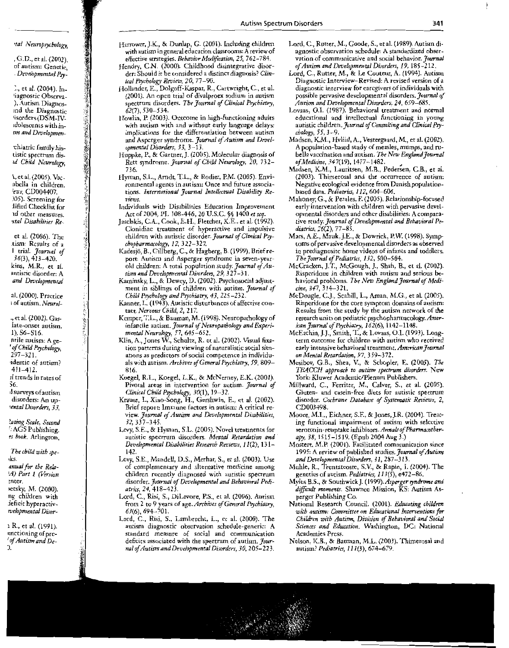tal Neuropsychology,

, G.D., et al. (2002). of autism: Genetic, . Developmental Psy-

J., et al. (2004). Inliagnostic Observa-), Autism Diagnosind the Diagnostic isorders (DSM-IVdolescents with insm and Developmen-

○ 神田 小田市 (神社大学)

chiatric family hististic spectrum disid Child Neurology,

**\,** et al. (2005). Vacubella in children. ews, CD004407. 05). Screening for lified Checklist for id other measures. ntal Disabilities Re-

et al. (2006). The tism: Results of a l trial. *Journal of*  $36(3), 413 - 420.$ kins, M.R., et al. antistic disorder: A and Developmental

al. (2000). Practice of autism. *Neurol* 

, et al. (2002). Gaslate-onset autism.  $1, S6-S16.$ ntile autism: A geof Child Psychology,

297-321.

idemic of autism? 411–412.

al trends in rates of

56.

d surveys of autism disorders: An upental Disorders, 33,

ating Scale, Second : AGS Publishing. es book. Arlingron,

The child with spe-٠ks.

anual for the Rela-A) Part 1 (Version enter.

xetsky, M. (2000). ng children with deficit hyperactivvelopmental Disor-

1 R., et al. (1991). unctioning of pre-' of Autism and De-

- Harrower, J.K., & Dunlap, G. (2001). Including children with autism in general education classrooms:  $\bar{\mathrm{A}}$  review of effective strategies. Behavior Modification, 25, 762-784.
- Hendry, C.N. (2000). Childhood disintegrative disorder: Should it be considered a distinct diagnosis? *Clin*ical Psychology Review, 20, 77–90.
- Hollander, E., Dolgoff-Kaspar, R., Cartwright, C., et al. (2001). An open trial of divalproex sodium in autism spectrum disorders. The Journal of Clinical Psychiatry, 62(7), 530–534.
- Howlin, P. (2003). Outcome in high-functioning adults with autism with and without early language delays: implications for the differentiation between autism and Asperger syndrome. Journal of Autism and Developmental Disorders, 33, 3–13.
- Huppke, P., & Gartner, J. (2005). Molecular diagnosis of Rett syndrome. *Journal of Child Neurology, 20, 732*– 736.
- Hyman, S.L., Arndt, T.L., & Rodier, P.M. (2005). Environmental agents in autism: Once and future associations. International Journal Intellectual Disability Reviews.
- Individuals with Disabilities Education Improvement Act of 2004, PL 108-446, 20 U.S.C. §§ 1400 et seq
- Jaselskis, C.A., Cook, E.H., Fletcher, K.E., et al. (1992). Clonidine treatment of hyperactive and impulsive children with autistic disorder. Journal of Clinical Psychopbarmacology, 12, 322–327.
- Kadesjö, B., Gillberg, C., & Hagberg, B. (1999). Brief report: Autism and Asperger syndrome in seven-yearold children: A total population study. *Journal of Au*tism and Developmental Disorders, 29, 327-31.
- Kaminsky, L., & Dewey, D. (2002). Psychosocial adjustment in siblings of children with autism. *Journal of* Child Psychology and Psychiatry, 43, 225–232.
- Kanner, L. (1943). Autistic disturbances of affective contact. Nervous Child, 2, 217.
- Kemper, T.L., & Bauman, M. (1998). Neuropathology of infantile autism. Journal of Neuropathology and Experi-
- mental Neurology, 57, 645-652.<br>Klin, A., Jones W., Schultz, R. et al. (2002). Visual fixation patterns during viewing of naturalistic social sitnations as predictors of social competence in individuals with aurism. Archives of General Psychiatry, 59, 809-816.
- Koegel, R.L., Koegel, L.K., & McNerney, E.K. (2001). Pivotal areas in intervention for autism. *Journal of* Clinical Child Psychology, 30(1), 19–32.
- Krause, I., Xiao-Song, H., Gershwin, E., et al. (2002). Brief report: Immune factors in autism: A critical review. Journal of Autism and Developmental Disabilities, 32, 337 - 345
- Levy, S.E., & Hyman, S.L. (2005). Novel treatments for autistic specrrum disorders. *Mental Retardation and* Developmental Disabilities Research Reviews, 11(2), 131– 142
- Levy, S.E., Mandell, D.S., Merhar, S., er al. (2003). Use of complementary and alternative medicine among children recently diagnosed with autistic spectrum disorder. Journal of Developmental and Behavioral Pediatrics, 24, 418–423.
- Lord, C., Risi, S., DiLavore, P.S., et al. (2006). Autism from 2 to 9 years of age. Archives of General Psychiatry,  $63(6)$ , 694-701.
- Lord, C., Risi, S., Lambrecht, L., et al. (2000). The autism diagnostic observation schedule-generic: A standard measure of social and communication deficits associated with the speetrum of autism. *Jour*nal of Autism and Developmental Disorders, 30, 205–223.
- Lord, C., Rutter, M., Goode, S., et al. (1989). Autism diagnostic observation schedule: A standardized observation of communicative and social behavior. Journal of Autism and Developmental Disorders, 19, 185–212.
- Lord, C., Rutter, M., & Le Couteur, A. (1994). Autism Diagnostic Interview–Revised: A revised version of a diagnostic interview for carcgivers of individuals with possible pervasive developmental disorders. *Journal of* Autism and Developmental Disorders, 24, 659–685.
- Lovaas, O.I. (1987). Behavioral treatment and normal educational and intellectual functioning in young autistic children. Journal of Consulting and Clinical Psychology, 55, 3–9.
- Madsen, K.M., Hvliid, A., Vestergaard, M., et al. (2002). A population-based study of measles, mumps, and rubella vaccination and autism. *The New England Journal* of Medicine, 347(19), 1477–1482.
- Madsen, K.M., Lauritsen, M.B., Pedersen, C.B., et al. (2003). Thimerosal and the occurrence of autism: Negative ecological evidence from Danish populationbased data. *Pediatrics*, 112, 604–606.
- Mahoney, G., & Perales, F. (2005). Relationship-focused early intervention with children with pervasive developmental disorders and other disabilities: A comparative study. *Journal of Developmental and Behavioral Pe*diatrics, 26(2), 77-85.
- Mars, A.E., Mauk, J.E., & Dowrick, P.W. (1998). Symptoms of pervasive developmental disorders as observed in prediagnositc home videos of infants and toddlers.
- The Journal of Pediatrics, 132, 500-504.<br>McCracken, J.T., McGough, J., Shah, B., et al. (2002). Risperidone in children with autism and serious behavioral problems. *The New England Journal of Medi*cine, 347, 314–321.
- McDougle, C.J., Scahill, L., Aman, M.G., et al. (2005). Risperidone for the core symptom domains of autism: Results from the study by the autism network of the research units on pediatric psychopharmacology. American Journal of Psychiatry, 162(6), 1142–1148.
- McEachin, J.J., Smith, T., & Lovaas, O.I. (1993). Longterm outcome for children with autism who received early intensive behavioral treatment. American Journal on Mental Retardation, 97, 359–372.
- Mesibov, G.B., Shea, V., & Scbopler, E. (2005). The TEACCH approach to autism spectrum disorders. New York: Kluwer Academic/Plenum Publishers.
- Millward, C., Ferriter, M., Calver, S., et al. (2005). Gluten- and casein-free diets for autistic spectrum disorder. *Cochrane Database of Systematic Reviews, 2*, CD003498.
- Moore, M.L., Eichner, S.F., & Jones, J.R. (2004). Treating functional impairment of autism with selective serotonin-reuptake inhibitors. Annals of Pharmacother*apy*, 38, 1515–1519. (Epub 2004 Aug 3.)
- Mostert, M.P. (2001). Facilitated communication since 1995: A review of published studies. Journal of Autism and Developmental Disorders, 31, 287–313.
- Muhle, R., Trentatcoste, S.V., & Rapin, I. (2004). The genetics of autism. Pediatrics, 113(5), e472-86.
- Myles B.S., & Southwick J. (1999). Asperger syndrome and difficult moments. Shawnee Mission, KS: Autism Asperger Publishing Co.
- National Research Council. (2001). Educating children with autism: Committee on Educational Interventions for Children with Autism, Division of Behavioral and Social Sciences and Education. Washington, DC: National Academies Press.
- Nelson, K.B., & Bauman, M.L. (2003). Thimerosal and autism? *Pediatrics*, 111(3), 674–679.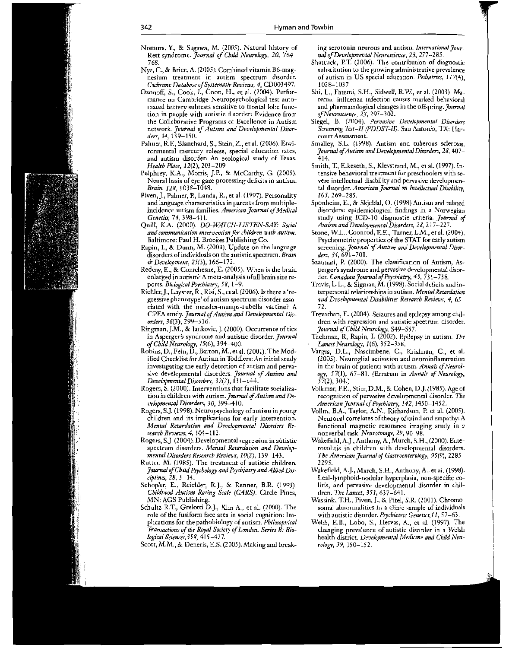- Nomura, Y., & Sagawa, M. (2005). Natural history of Rett syndrome. *Journal of Child Neurology*, 20, 764– 768.
- Nye, C., & Brice, A. (2005). Combined vitamin B6-magnesium treatment in autism spectrum disorder. Cochrane Database of Systematic Reviews, 4, CD003497.
- Ozonoff, S., Cook, I., Coon, H., et al. (2004). Performance on Cambridge Neuropsychological test automated battery subtests sensitive to frontal lobe function in people with autistie disorder: Evidence from the Collaborative Programs of Excellence in Autism network. *Jou<del>r</del>nal of Autism and Developmental Disor*ders, 34, 139–150.
- Palıuer, R.F., Blanehard, S., Stein, Z., et al. (2006). Environmental mercury release, special education rates, and antism disorder: An eeological srudy of Texas. Health Place, 12(2), 203–209
- Pelphrey, K.A., Morris, J.P., & McCarthy, G. (2005). Neural basis of eye gaze processing deficits in antisu1. Brain, 128, 1038–1048.
- Piven, J., Palmer, P., Landa, R., et al. (1997). Personality and language charaereristics in parents from multipleincidence autism families. *American Journal of Medical* Genetics, 74, 398-411.
- Qnill, K.A. (2000). DO-WATCH-LISTEN-SAY: Social and communication intervention for children with autism. Baltimore: Paul H. Brookes Publishing Co.
- Rapin, I., & Dunn, M. (2003). Update on the language disorders of individuals on the autistie spectrum. *Brain* & Development, 25(3), 166–172.
- Redcay, E., & Conrchesne, E. (2005). When is the brain enlarged in autism? A meta-analysis of all brain size reports. Biological Psychiatry, 58, 1-9.<br>Richler, J., Luyster, R., Risi, S., et al. (2006). Is there a 're-
- gressive phenotype' of autism spectrum disorder associated with the measles-mumps-rubella vaccine? A CPEA study. Journal of Autism and Developmental Disorders, 36(3), 299-316.
- Ringman, J.M., & Jankovic, J. (2000). Occurrenee of tics in Asperger's syndrome and autistic disorder. *Journal* of Child Neurology, 15(6), 394–400.
- Robins, D., Fein, D., Barton, M., et al. (2001). The Modified Checklist for Autism in Toddlers: An initial study investigating the early detection of anrism and pervasive developmental disorders. Journal of Autism and Developmental Disorders, 32(2), 131–144.
- Rogers, S. (2000). Interventions that facilitate socialization in children with autism. Journal of Autism and Develop<del>menta</del>l Disorders, 30, 399–410.
- Rogers, S.J. (1998). Neuropsyehology of autism in young children and its implications for early intervention. Mental Retardation and Developmental Disorders Research Reviews, 4, 104-112.
- Rogers, S.J. (2004). Developmental regression in autistic spectrum disorders. Mental Retardation and Developmental Disorders Research Reviews, 10(2), 139-143.
- Rutter, M. (1985). The treatment of autistic children. Journal of Child Psychology and Psychiatry and Allied Disciplines, 28, 3–14.
- Schopler, E., Reichler, R.J., & Renner, B.R. (1993). Childhood Autism Rating Scale (CARS). Circle Pines, MN: AGS Publishing.
- Schultz R.T., Grelotti D.J., Klin A., et al. (2000). The role of the fusiform face area in social cognition: Implications for the pathobiology of autism. Philosophical Transactions of the Royal Society of London. Series B. Biological Sciences, 358, 415–427.

Scott, M.M., & Deneris, E.S. (2005). Making and break-

ing serotonin neurons and autism International Journal of Developmental Neuroscience, 23, 277–285.

- Shattuck, P.T. (2006). The contribution of diaguostic substitution to the growing administrative prevalence of autism in US special education. Pediatrics, 117(4), 1028-1037.
- Shi, L., Fatemi, S.H., Sidwell, R.W., et al. (2003). Marernal influenza infection eauses marked behavioral and pharmacological changes in the offspring. Journal of Neuroscience, 23, 297–302.
- Siegel, B. (2004). Pervasive Developmental Disorders Screening Test-II (PDDST-II). San Anronio, TX: Harcourt Assessment.
- Smalley, S.L. (1998). Autism and tuberous sclerosis. Journal of Autism and Developmental Disorders, 28, 407– 414.
- Smith, T., Eikeseth, S., Klevstrand, M., et al. (1997). Intensive behavioral treatment for preschoolers with severe intellectnal disability and pervasive developmental disorder. *American Journal on Intellectual Disability*, 105, 269–285.
- Sponheim, E., & Skjeldal, O. (1998) Antisin and related disorders: epidemiological findings in a Norwegian study using ICD-10 diagnostic criteria. Journal of Autism and Developmental Disorders, 28, 217–227.
- Stone, W.L., Coonrod, E.E., Turner, L.M., et al. (2004). Psychometric properties of the STAT for early autism screening. Journal of Autism and Developmental Disorders, 34, 691-701.
- Szatmari, P. (2000). The classification of Autism, Asperger's syndrome and pervasive developmental disorder. *Canadian Journal of Psychiatry*, 45, 731–738.
- Travis, L.L., & Sigman, M. (1998). Social deficits and interpersonal relarionships in autism. Mental Retardation and Developmental Disabilities Research Reviews, 4, 65– 72.
- Trevathan, E. (2004). Seizures and epilepsy among children with regression and autistic speetrum disorder. Journal of Child Neurology, S49–S57.
- Tuchman, R, Rapin, I. (2002). Epilepsy in autism. The Lancet Neurology, 1(6), 352–358.
- Vargas, D.L., Nascimbene, C., Krishnan, C., et al. (2005). Neuroglial activation and neuroinflammation in the brain of patients with autism. Annals of Neurology, 57(1), 67-81. (Erratum in Annals of Neurology, 57(2), 304.)
- Volkmar, F.R., Stier, D.M., & Cohen, D.J. (1985). Age of recognition of pervasive developmental disorder. The A<del>mer</del>ican Journal of Psychiatry, 142, 1450–1452.
- Vollm, B.A., Taylor, A.N., Riehardson, P. et al. (2005). Neuronal correlates of theory of mind and empathy: A functional magnetic resonance imaging study in a nonverbal task. *Neuroimage*, 29, 90–98.
- Wakefield, A.J., Anthony, A., Murch, S.H., (2000). Enterocolitis in children with developmental disorders. The American Journal of Gastroenterology, 95(9), 2285– 2295.
- Wakefield, A.J., Murch, S.H., Anthony, A., et al. (1998). Ileal-lymphoid-nodular hyperplasia, non-specifie colitis, and pervasive developmental disorder in children. The Lancet, 351, 637-641.
- Wassink, T.H., Piven, J., & Pitel, S.R. (2001). Chromosomal abnormalities in a clinic sample of individuals with autistic disorder. *Psychiat<del>ri</del>c Genetics,11*, 57–63.
- Webb, E.B., Lobo, S., Hervas, A., et al. (1997). The changing prevalence of autistic disorder in a Welsh health district. Developmental Medicine and Child Neurology, 39, 150–152.